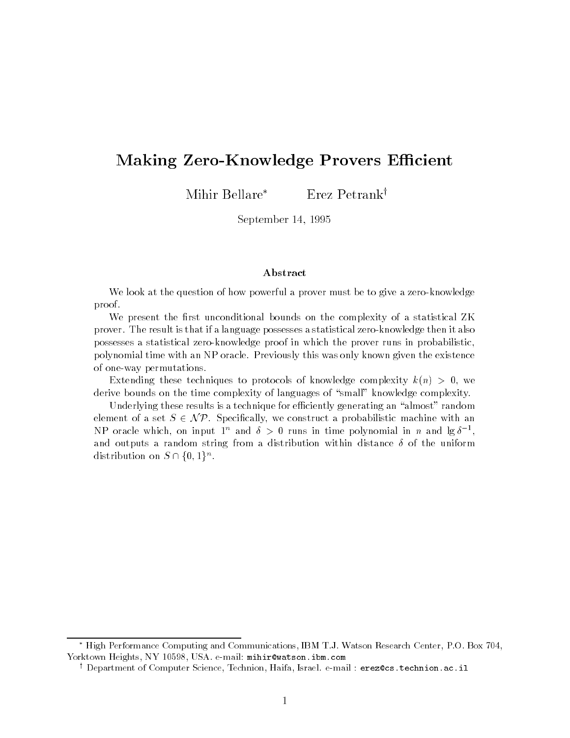## Making Zero-Knowledge Provers Efficient

Mihir Bellare\* Erez Petrank<sup>†</sup>

September -

### Abstract

We look at the question of how powerful a prover must be to give a zero-knowledge proof

We present the -rst unconditional bounds on the complexity of a statistical ZK prover. The result is that if a language possesses a statistical zero-knowledge then it also possesses a statistical zeroknowledge proof in which the prover runs in probabilistic polynomial time with an NP oracle Previously this was only known given the existence of one-way permutations.

Extending these techniques to protocols of knowledge complexity  $k(n) > 0$ , we

derive bounds on the time complexity of languages of "small" knowledge complexity.<br>Underlying these results is a technique for efficiently generating an "almost" random<br>element of a set  $S \in \mathcal{NP}$ . Specifically, we const Underlying these results is a technique for efficiently generating an "almost" random element of a set  $S \in \mathcal{NP}$ . Specifically, we construct a probabilistic machine with an NP oracle which, on input  $1^n$  and  $\delta > 0$  runs in time polynomial in n and  $\lg \delta^{-1}$ , and outputs a random string from a distribution within distance of the uniform NP oracle which, on inpu<br>and outputs a random st<br>distribution on  $S \cap \{0,1\}^r$  $1\}^n$ .

High Performance Computing and Communications, IBM T.J. Watson Research Center, P.O. Box 104, yorktown Heights NY USA every the minimum member of the extra the sonic of the sonic order

wepartment of Computer Science, Technion, Hana, Israel, e-mail : erezces .technion.ac.il =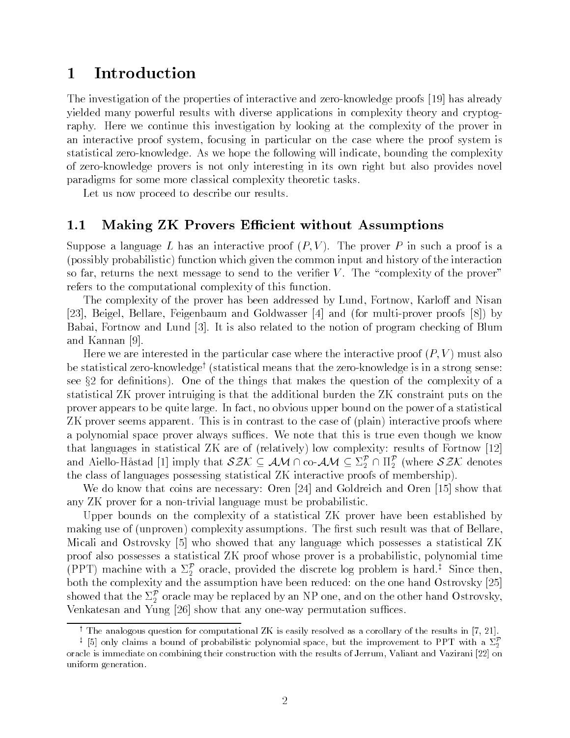#### Introduction  $\mathbf 1$

The investigation of the properties of interactive and zero-knowledge proofs [19] has already yielded many powerful results with diverse applications in complexity theory and cryptog raphy. Here we continue this investigation by looking at the complexity of the prover in and interactive proof systems, is focusing in particular on the case where the proof systems is statistical zeroknowledge As we hope the following will indicate  $\mathcal{L}$ of zeroknowledge provers is not only interesting in its own right but also provides novel paradigms for some more classical complexity theoretic tasks

Let us now proceed to describe our results.

### Making ZK Provers E-cient without Assumptions

 $S = \pm 1$  interactive prover P interactive prover P interactive prover P in such a prover P in such a prove  $\mathbf{h}$  is probabilities the common input and history of the input and history of the interaction in so far- returns the next message to send to the verier V The complexity of the prover refers to the computational complexity of this function

The complexity of the prover has been addressed by Lund- Fortnow- Karlo and Nisan is a complete the complete structure of the complete interest in the complete structure in the complete interes babai- Fortnow and Lund It is also related to the notion of program checking of Blumb and Kannan

Here we are interested in the particular case where the interactive proof P V must also be statistical zero-knowledge<sup>†</sup> (statistical means that the zero-knowledge is in a strong sense: see x for denitions One of the things that makes the question of the complexity of a statistical ZK prover intruiging is that the additional burden the ZK constraint puts on the prover appears to be quite surget in faction of a statistical on the power of a statistical on the power of a statistical  $\mathbf{1}$  approximately the case of  $\mathbf{1}$  and  $\mathbf{2}$  and  $\mathbf{3}$  and  $\mathbf{4}$  are case of  $\mathbf{3}$  and  $\mathbf{4}$ a polynomial space prover always suffices. We note that this is true even though we know that the languages in statistical Zee are of  $\{r\text{-}\text{sn},\,r\}$  for Fortnow complexity results of Fortnow  $\{r\}$ and Aiello-Håstad [1] imply that  $\mathcal{SZK}\subseteq\mathcal{AM}\cap$  co- $\mathcal{AM}\subseteq\Sigma_2^\mathcal{P}\cap\Pi_2^\mathcal{P}$  (where  $\mathcal{SZK}$  denotes . . . . the class of languages possessing statistical  $\mathbf{r}$  interactive proofs of membership proofs of membership  $\mathbf{r}$ 

We do know that coins are necessary: Oren  $[24]$  and Goldreich and Oren  $[15]$  show that any ZK prover for a non-trivial language must be probabilistic.

Upper bounds on the complexity of a statistical ZK prover have been established by making use of was the result of assumptions that is such assumptions that of Bellare-Complete assumption Micali and Ostrovsky  $\lbrack 5\rbrack$  who showed that any language which possesses a statistical ZK proof also possesses a statistical ZK proof whose prover is a probabilistic- polynomial time (PPT) machine with a  $\Sigma_2^{\mathcal{P}}$  oracle, provided the discrete log problem is hard.<sup>‡</sup> Since then, both the complexity and the assumption have been reduced: on the one hand Ostrovsky [25] showed that the  $\Sigma_2^\mathcal{P}$  oracle may be replaced by an NP one, and on the other hand Ostrovsky, Venkatesan and Yung  $[26]$  show that any one-way permutation suffices.

 $^\circ$  The analogous question for computational ZK is easily resolved as a corollary of the results in  $\mu$ ,  $z_{11}$ .

 $^\star$  [5] only claims a bound of probabilistic polynomial space, but the improvement to PPT with a  $\varSigma_2$ oracle is immediate on combining their construction with the results of Jerrum Valiant and Vazirani 
on uniform generation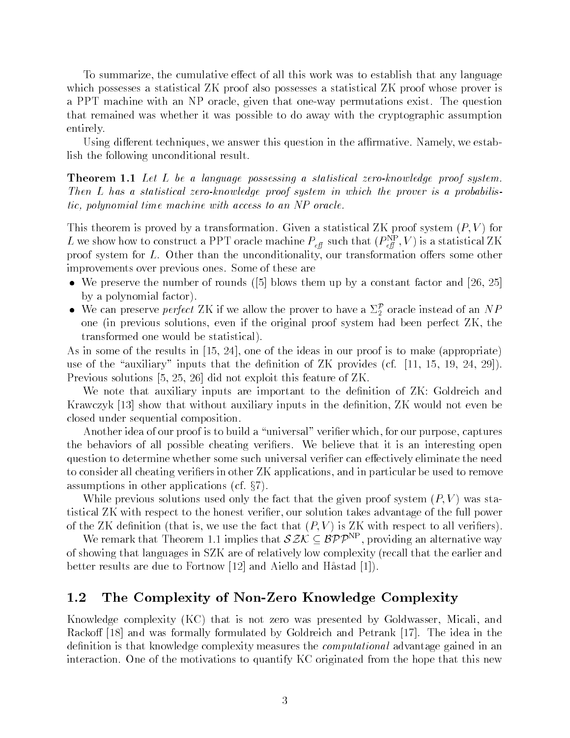To summarize- the cumulative eect of all this work was to establish that any language which possesses a statistical ZK proof also possesses a statistical ZK proof whose prover is a PPT machine with an Indianal permutations exist The permutations exist The questions and that remained was whether it was possible to do away with the cryptographic assumption entirely

using dieres and techniques, we armative this question in the armative techniques, and the armative lish the following unconditional result

**Theorem I:1** Due D of a language possessing a statistical zero-knowledge proof system. Then  $L$  has a statistical zero-knowledge proof system in which the prover is a probabilistic- polynomial time machine with access to an NP oracle

This theorem is proved by a transformation Given a statistical ZK proof system P V for L we show how to construct a PPT oracle machine  $P_{\text{eff}}$  such that  $(P_{\text{eff}}^c|,V)$  is a statistical LK proof system for  $\mathcal{O}(\mathcal{A})$  . The unconditionality-off-distribution oers some other some other some other some other some other some other some other some other some other some other some other some other some other s improvements over previous ones Some of these are

- We preserve the number of rounds blows them up by a constant factor and by a polynomial factor
- We can preserve *perfect* ZK if we allow the prover to have a  $\Sigma_2^{\mathcal{P}}$  oracle instead of an  $NP$ one it the president and the original proof system if the original proof system in the proof system of the second transformed one would be statistical

As in some of the results in - - one of the ideas in our proof is to make appropriate use in the change of the denitions of the density of the density of  $\mathbb{R}^n$  and  $\mathbb{R}^n$  and  $\mathbb{R}^n$ Previous solutions - - did not exploit this feature of ZK

We note that auxiliary inputs are important to the definition of  $ZK$ : Goldreich and Krawczyk show that without auxiliary inputs in the denition- ZK would not even be closed under sequential composition

another idea of our proof is to build a universal to build a capture of the purpose of the captures of the con the behaviors of all possible cheating verifiers. We believe that it is an interesting open question to determine whether some such universal verifier can effectively eliminate the need to consider all cheating verifies in other ZK applications, when the particular be used to remove to remove assumptions in other applications in our cases of the case of the complete  $\alpha$ 

While previous solutions used on  $\mathcal{W}$  . The fact that the given proof system  $\mathcal{W}$  values of  $\mathcal{W}$  values of  $\mathcal{W}$ tistical Zolution respect to the honest verificial contribution that the full power power power of of the ZK denition  $\mathbf{V}$  and  $\mathbf{V}$  is  $\mathbf{V}$  with respect to all veriers  $\mathbf{V}$ 

We remark that Theorem 1.1 implies that  $\delta \mathcal{Z} \mathcal{N} \subseteq \mathcal{BPP}^{\sim}$ , providing an alternative way of showing that languages in SZK are of relatively low complexity (recall that the earlier and better results are due to Fortnow and Aiello and Hastad

## 1.2 The Complexity of Non-Zero Knowledge Complexity

reserves that is not is not that is not the complexity of the complexity of the complexity of the complexity of the complexity of the complexity of the complexity of the complexity of the complexity of the complexity of th Rackoff [18] and was formally formulated by Goldreich and Petrank [17]. The idea in the definition is that knowledge complexity measures the *computational* advantage gained in an interaction. One of the motivations to quantify KC originated from the hope that this new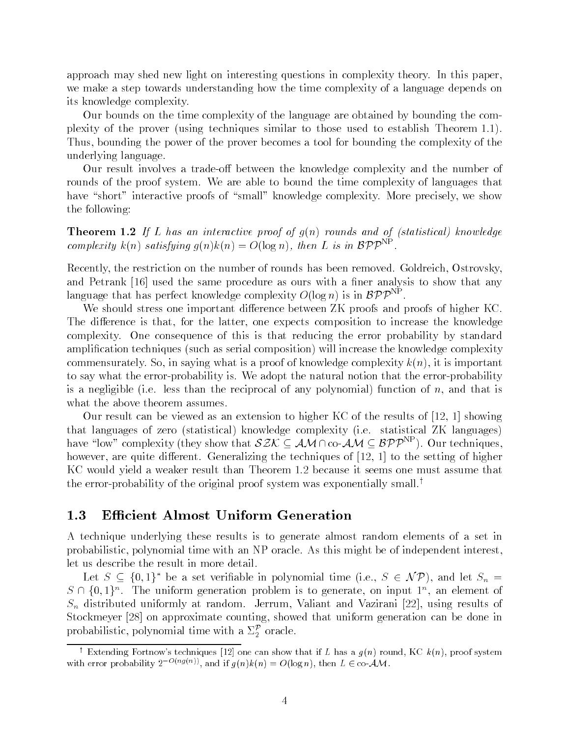approach may shed new light on interesting questions in complexity theory. In this paper. we make a step towards understanding how the time complexity of a language depends on its knowledge complexity

Our bounds on the time complexity of the language are obtained by bounding the com plexity of the proversion of the proversion of the proversion  $\mathcal{U}$ Thus- bounding the power of the prover becomes a tool for bounding the complexity of the underlying language

Our result involves a trade-off between the knowledge complexity and the number of rounds of the proof system. We are able to bound the time complexity of languages that have short
interactive proofs of small
knowledge complexity More precisely- we show the following

**INCOLUME 1.2** If  $\mu$  has an interactive proof of gun founds and of fstatistical knownage complexity  $\kappa(n)$  satisfying  $q(n) \kappa(n) = O(\log n)$ , then L is in  $\mathcal{BPP}^{\cdots}$ .

recently-the restriction on this besides in the number of rounds has been removed as a constant, and the state and Petrank  $[16]$  used the same procedure as ours with a finer analysis to show that any language that has perfect knowledge complexity  $O(\log n)$  is in  ${\cal BPP}^{\cdots}$  .

We should stress one important difference between  $ZK$  proofs and proofs of higher  $KC$ . the difference is the latter composition to increase the composition to increase the composition  $\pi$ complexity. One consequence of this is that reducing the error probability by standard amplication techniques (composition composition) will increase the composition  $\mathcal{A}$  the composition ( commensurate in saying who is a proof of the complexity  $\alpha$  is interesting to the complex in the complex interest. to say what the error-probability is. We adopt the natural notion that the error-probability is a mixture (i.e. that images is the reciprocal of any polynomial of any polynomial of  $\alpha$  and  $\alpha$ what the above theorem assumes.

Our result can be viewed as an extension to higher KC of the results of - showing that languages of zero  $\mathcal{U}$  is the statistical  $\mathcal{U}$  in the  $\mathcal{U}$ have "low" complexity (they show that  $\delta z \mathcal{N} \subseteq A \mathcal{M} \cap {\rm co-}\mathcal{A} \mathcal{M} \subseteq \mathcal{BPP}^{++}$  ). Our techniques, however- are quite dierent Generalizing the techniques of - to the setting of higher KC would yield a weaker result than Theorem 1.2 because it seems one must assume that the error-probability of the original proof system was exponentially small.<sup>†</sup>

A technique underlying these results is to generate almost random elements of a set in probabilistic- polynomial time with an NP oracle As this might be of independent interestlet us describe the result in more detail

Let  $S \subseteq \{0,1\}^*$  be a set verifiable in polynomial time (i.e.,  $S \in \mathcal{NP}$ ), and let  $S_n =$  $S \cup \{0,1\}$  . The uniform generation problem is to generate, on input 1 , an element of  $S = \{0, 1, 2, \ldots, N\}$  at random Jerry at random Jerry at random  $\{0, 1, 2, \ldots, N\}$  $S$  . showed that the showed that uniform generation  $\Delta$  showed that uniform  $\Delta$  showed in a believe in the done probabilistic, polynomial time with a  $\Sigma_2^\mathcal{P}$  oracle.

 $\pm$  Extending Fortnow s techniques [12] one can show that if L has a  $g(n)$  round, KC  $\kappa(n)$ , proof system with error probability  $2^{-(\alpha_3(\alpha))}$ , and if  $g(n)\kappa(n) = O(\log n)$ , then  $L \in \text{co-}\mathcal{AM}$ .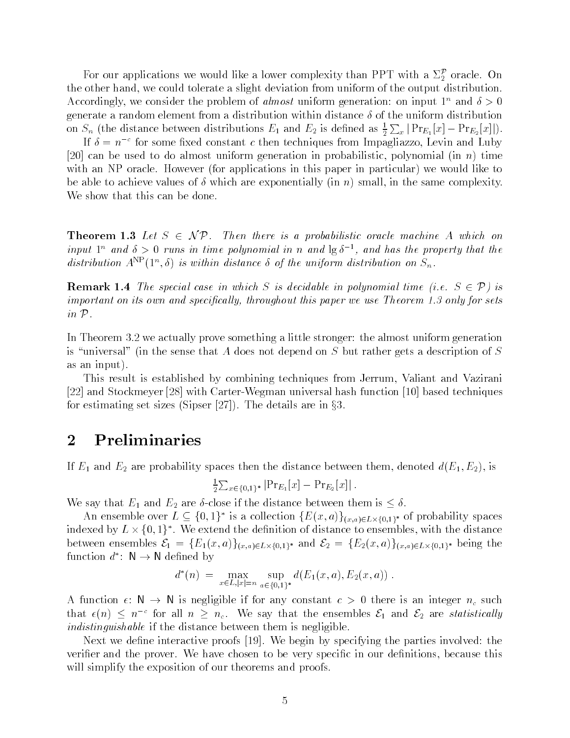For our applications we would like a lower complexity than PPT with a  $\Sigma_2^{\mathcal{P}}$  oracle. On the course hand-ty to count conserved to anywhere the output distribution from the output distribution of the Accordingly, we consider the problem of *almost* uniform generation: on input 1 and  $\delta > 0$ generate a random element from a distribution within distance  $\delta$  of the uniform distribution on  $S_n$  (the distance between distributions  $E_1$  and  $E_2$  is defined as  $\frac{1}{2} \sum_x |Pr_{E_1}[x] - Pr_{E_2}[x]|$ ).

If  $\delta = n^{-c}$  for some fixed constant c then techniques from Impagliazzo, Levin and Luby can be used to do almost uniform generation in probability in probability in probability in probability in the with an Indian Indian and the state of particular in this paper in the particular in this particular in the st be able to discuss the same complexity are exponentially  $\{xx, \ldots\}$  complexes the same complexity. We show that this can be done.

**THEOREM LET**  $\mathbf{U} \cup \mathbf{U} \cup \mathbf{V}$   $\mathbf{V}$  for the there is a probabilistic oracle machine A which on input  $1^n$  and  $\delta > 0$  runs in time polynomial in n and  $\lg \delta^{-1}$ , and has the property that the aistribution  $A^{**}(1^{\infty},0)$  is within aistance 0 of the uniform aistribution on  $S_n$ .

**Remark I: T**he special case in which  $\beta$  is accuavite in polynomial time  $\beta$ .  $\beta$   $\gamma$   $\gamma$  is important on its own and specical ly- throughout this paper we use Theorem only for sets in P

In Theorem 3.2 we actually prove something a little stronger: the almost uniform generation is "universal" (in the sense that A does not depend on S but rather gets a description of S as an input in a fact that is a set of the set of the set of the set of the set of the set of the set of the s

This result is established by combining techniques from Jerrum- Valiant and Vazirani  $[22]$  and Stockmeyer  $[28]$  with Carter-Wegman universal hash function  $[10]$  based techniques for estimating set sizes  $\mathcal{S}$  , we can assume that the details are in  $\mathcal{S}$  are in  $\mathcal{S}$ 

## 2 Preliminaries

If E and E are probability spaces then the distance between the distance between the distance between the distance between the distance between the distance between the distance between the distance of the distance of the

$$
\frac{1}{2} \sum_{x \in \{0,1\}^*} |\Pr_{E_1}[x] - \Pr_{E_2}[x]|.
$$

We say that E and E are close if the distance between the distance between the distance between the distance between the distance between the distance between the distance between the distance between the distance between

An ensemble over  $L \subseteq \{0,1\}^*$  is a collection  $\{E(x,a)\}_{(x,a)\in L\times\{0,1\}^*}$  of probability spaces indexed by  $L \times \{0,1\}^*$ . We extend the definition of distance to ensembles, with the distance between ensembles  $c_1 = \{E_1(x, a) \}_{(x, a) \in L \times \{0, 1\}^*}$  and  $c_2 = \{E_2(x, a) \}_{(x, a) \in L \times \{0, 1\}^*}$  being the function  $d^*$ :  $\mathsf{N} \to \mathsf{N}$  defined by

$$
d^*(n) = \max_{x \in L, |x| = n} \sup_{a \in \{0,1\}^*} d(E_1(x,a), E_2(x,a)) .
$$

 $\mathbf{A}$  function  $\mathbf{C}$ . We argue if for any constant  $\mathbf{C} > 0$  there is an integer  $\mathbf{C}$  such that  $\epsilon(n) \leq n^{-c}$  for all  $n \geq n_c$ . We say that the ensembles  $\mathcal{E}_1$  and  $\mathcal{E}_2$  are statistically indistinguishable if the distance between them is negligible.

Next we define interactive proofs [19]. We begin by specifying the parties involved: the verier and the prover We have chosen to be very specic in our denitions- because this will simplify the exposition of our theorems and proofs.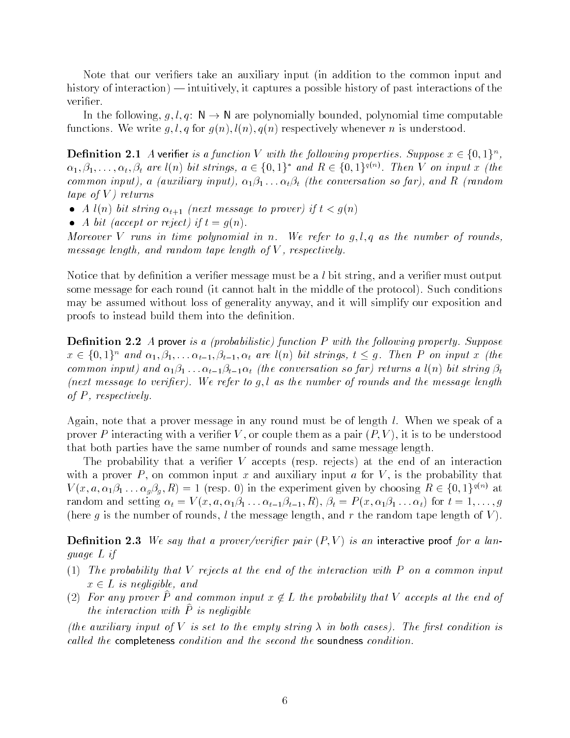Note that our verifiers take an auxiliary input (in addition to the common input and history of interaction intuitively- it captures a possible history of past interactions of the verifier.

In the following-quelque is an are polynomially bounded-polynomial time computable functions We write g l q for g n l n q n respectively whenever n is understood

**Demition 2.1** A verifier is a function v with the following properties. Suppose  $x \in \{0,1\}^n$ ,  $\alpha_1, \beta_1, \ldots, \alpha_t, \beta_t$  are  $l(n)$  bit strings,  $a \in \{0,1\}^*$  and  $R \in \{0,1\}^{q(n)}$ . Then V on input x (the a autority in put-form in the conversation so far-form  $\mathbf{a}$  and  $\mathbf{a}$ tape of  $V$ ) returns

- A later to prove to prove it the proven in the string of the string term of the string term of the string te
- A bit accept or reject if t g n

Moreover V runs in time polynomial in n. We refer to  $g, l, q$  as the number of rounds, message length-, mind respectively in the length- and the respectively.

Notice that by denition a verier message must be a lbit string- and a verier must output some message for each round it cannot halt in the middle of the protocol Such conditions may be assumed without loss of generality anyway- and it will simplify our exposition and proofs to instead build them into the definition.

 $D$ chiticion  $P$ ,  $P$  a prover is a provagation particular with the following property, suppose  $x \in \{0,1\}^n$  and  $\alpha_1, \beta_1, \ldots \alpha_{t-1}, \beta_{t-1}, \alpha_t$  are  $\iota(n)$  on strings,  $\iota \leq g$ . Then P on input  $x$  (the common input, and  $\alpha l$  is the conversation so far, returns a lock and in the set (next message to verifier). We refer to g,l as the number of rounds and the message length of P - respectively

Again- note that a prover message in any round must be of length l When we speak of a  $\mathbf{P}$  is to be understood with a verificial value them as a pair  $\mathbf{P}$  value them as a pair  $\mathbf{P}$ that both parties have the same number of rounds and same message length

The probability that a verier V accepts resp rejects at the end of an interaction with a proven P - on common input a formulation input a formulation input a formulation input a formulation in  $V(x, a, \alpha_1 \beta_1 \ldots \alpha_g \beta_g, K) = 1$  (resp. 0) in the experiment given by choosing  $K \in \{0, 1\}^{\{0, \cdots\}}$  at random and setting  $\{x_i\}$  ,  $\{x_i\}$  and  $\{x_i\}$  is the result of  $\{x_i\}$  . The results of  $\{x_i\}$  is the results of  $\{x_i\}$  is the results of  $\{x_i\}$  is the results of  $\{x_i\}$  is the results of  $\{x_i\}$  is the re here g is the number of rounds- l the message length- and r the random tape length of V

**Demition 2.0** We say that a prover fourther pair  $(T, V)$  to an interactive proof for a language L if

- $T$  referred of the end of the end of the end of the end of the interaction with  $P$  on a common input  $P$  on a common input  $P$ x L is negligible- and
- $(2)$  for any prover  $\Gamma$  and common input  $x\notin L$  the probability that  $V$  accepts at the end of the interaction with  $\hat{P}$  is negligible

(the auxiliary input of V is set to the empty string  $\lambda$  in both cases). The first condition is called the completeness condition and the second the soundness condition.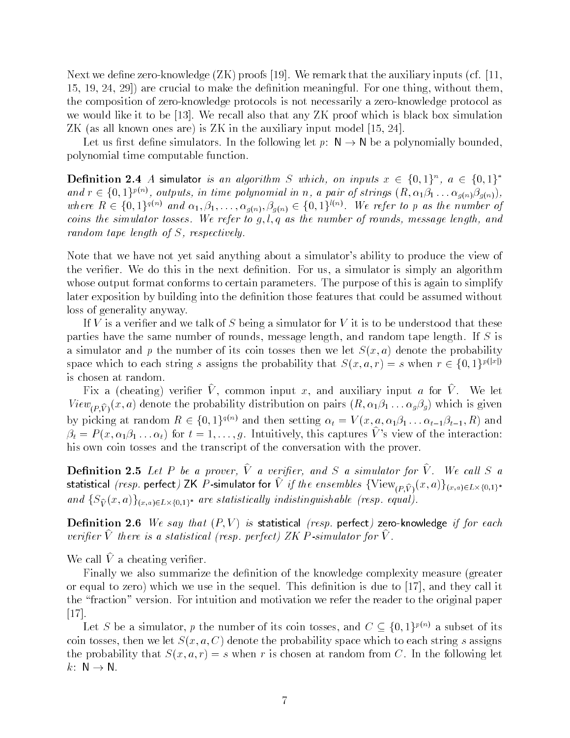Next we dene zeroknowledge ZK proofs We remark that the auxiliary inputs cf -- - - are crucial to make the denition meaningful For one thing- without themthe composition of zero-knowledge protocols is not necessarily a zero-knowledge protocol as we would like it to be  $[13]$ . We recall also that any ZK proof which is black box simulation  $\mathcal{N}$  as all known ones are all known ones are all contributions are all contributions of the auxiliary input model  $\mathcal{N}$ 

Let us first define simulators. In the following let  $p: N \to N$  be a polynomially bounded, polynomial time computable function

**Definition 2.4** A simulator is an algorithm S which, on inputs  $x \in \{0,1\}^n$ ,  $a \in \{0,1\}^*$ and  $r \in \{0,1\}^{r(\gamma)}$ , outputs, in time polynomial in n, a pair of strings  $(R, \alpha_1 \beta_1 \ldots \alpha_{g(n)} \beta_{g(n)})$ , where  $R \in \{0,1\}^{q(n)}$  and  $\alpha_1, \beta_1, \ldots, \alpha_{q(n)}, \beta_{q(n)} \in \{0,1\}^{l(n)}$ . We refer to p as the number of coins the simulator tosses We refer to girly we the number of rounds-interesty thing with random tape length of S- respectively

Note that we have not yet said anything about a simulator's ability to produce the view of the verifies we do the next denition for users in the next denimities in the paper and  $\pi$ whose output format conforms to certain parameters. The purpose of this is again to simplify later exposition by building into the definition those features that could be assumed without loss of generality anyway

If V is a verifier and we talk of S being a simulator for V it is to be understood that these parties have the same number of rounds- message length- and random tape length If S is a simulator and p the manufacture of its coincidence there we let  $\omega$  (or any probability of  $\omega$ space which to each string s assigns the probability that  $S(x, a, r) = s$  when  $r \in \{0, 1\}^{p(|x|)}$ is chosen at random

Fix a (cheating) verifier  $V$ , common input  $x$ , and auxiliary input  $a$  for  $V$ . We let  $V \sim \mathbb{P}(P,V)$  ( $\sim$  ) and the probability distribution on pairs  $\mathbb{P}$  and  $\mathbb{P}(X) \sim \mathbb{P}(P|Y)$  is given by  $\mathbb{P}(Y)$ by picking at random  $R \in \{0,1\}^{n \times n}$  and then setting  $\alpha_t = V(x, a, \alpha_1 \beta_1 \dots \alpha_{t-1} \beta_{t-1}, R)$  and  $p_t = r(x, \alpha_1 p_1 \dots \alpha_t)$  for  $t = 1, \dots, g$ . Intuitively, this captures v s view of the interaction: his own coin tosses and the transcript of the conversation with the prover

**Demition 2.5** Let  $\Gamma$  be a prover,  $\gamma$  a verifier, and  $\beta$  a simulator for  $\gamma$ . We call  $\beta$  a statistical *(resp.* perfect)  $\Sigma_{\mathbf{N}}$  P -simulator for *V v if the ensembles* {  $V$  lew $\sum_{(P,\widehat{V})}(x, a)$   $f(x,a) \in L\times\{0,1\}^*$ and  $\{\mathcal{S}^{\infty}_V(x,a)\}_{(x,a)\in L\times\{0,1\}^*}$  are statistically inaistinguishable (resp. equal).

**D** CHIHUDII **2.0** We say that  $(T, V)$  is statistical plog. perfect the concentrate if for each verifier  $\hat{V}$  there is a statistical (resp. perfect) ZK P-simulator for  $\hat{V}$ .

We call  $\hat{V}$  a cheating verifier.

Finally we also summarize the definition of the knowledge complexity measure (greater or equal to zero which we use in the sequel This denition is due to - and they call it the "fraction" version. For intuition and motivation we refer the reader to the original paper  $\left[17\right]$ .

Let S be a simulator, p the number of its coin tosses, and  $C \subseteq \{0, 1\}^{P(\cdot)}$  a subset of its coin tosses-then we let  $\alpha$  a coincident to each space which to each string space which to each string space which to each string space which to each string space which to each string space which to each string space whi the probability that S and S when r is chosen at random from the following letters in the following letters in  $k: \mathbb{N} \to \mathbb{N}$ .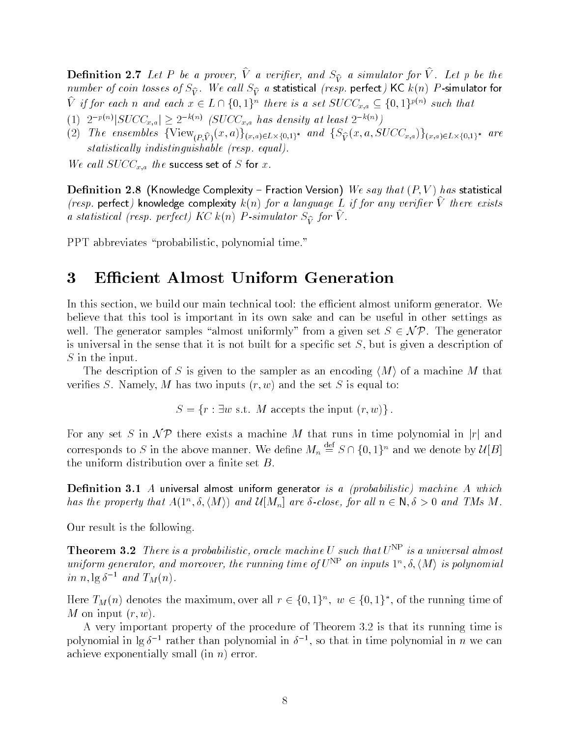**Denition 2.** Let  $I$  be a prover,  $V$  a verifier, and  $S_{\hat{V}}^{\alpha}$  a simulator for  $V$  . Let  $p$  be the hamber by coin tosses by  $\mathcal{D}_{\mathbf{V}}^{\perp}$ . We call  $\mathcal{D}_{\mathbf{V}}^{\perp}$  a statistical fresp. perfect free  $\kappa(n)$  is simulator for V if for each n and each  $x \in L \cap \{0,1\}^n$  there is a set  $SUCC_{x,a} \subseteq \{0,1\}^{p(x)}$  such that

- $p_1(1)$   $2^{-p(n)}$   $SUCC_{x,a}$   $\geq$   $2^{-\kappa(n)}$  (SUCC<sub>x,a</sub> has density at least  $2^{-\kappa(n)}$ )
- (2) The ensembles  $\{V \text{I} \in W_{(P,\widehat{V})}(x,a)f(x,a) \in L \times \{0,1\}^* \}$  and  $\{S_{\widehat{V}}(x,a) \in U \cup (x,a)f(x,a) \in L \times \{0,1\}^* \}$  are  $statistically\ indicating wishable\ (resp.\ equal).$

We call  $SUCC_{x,a}$  the success set of S for x.

**D** chilition  $\mu$ ,  $\sigma$  (innowledge complexity  $\rightarrow$  raction version) we say that  $\mu$ ,  $\nu$   $\mu$  has statistical (resp. perfect) knowledge complexity  $\kappa(n)$  for a language L if for any verifier v inere exists a statistical (resp. perfect)  $K(X)$  **F** -simulator  $S_{\widehat{V}}$  for **v**.

PPT abbreviates probabilistic- polynomial time

#### $\bf{3}$ **Efficient Almost Uniform Generation**

In this section- we build our main technical tool the ecient almost uniform generator We believe that this tool is important in its own sake and can be useful in other settings as well. The generator samples "almost uniformly" from a given set  $S \in \mathcal{NP}$ . The generator is universal in the sense that it is not built for a specic set S- but is given a description of  $S$  in the input.

The description of S is given to the sampler as an encoding  $\langle M \rangle$  of a machine M that veries so i is the set  $\alpha$  and the set  $\alpha$  is the set  $\alpha$  is the set  $\alpha$  is equal to the set  $\alpha$ 

S in the input of the input of the input of the input of the input of the input of the input of the input of t

For any set S in  $\mathcal{NP}$  there exists a machine M that runs in time polynomial in |r| and corresponds to S in the above manner. We define  $M_n \equiv S \cap \{0,1\}^n$  and we denote by  $\mathcal{U}[B]$ the uniform distribution over a finite set  $B$ .

**Denition 0.1** A universal almost uniform generator *is a probabilistic) machine A* which has the property that  $A(1^-, \delta, \langle M \rangle)$  and  $\mathcal{U}[M_n]$  are o-close, for all  $n \in \mathbb{N}, \delta > 0$  and TIMs M .

Our result is the following

**Theorem 5.2** Incre is a probabilistic, oracle machine U such that  $U^{++}$  is a universal almost uniform generator, and moreover, the running time of  $U^{++}$  on inputs  $1^{\circ}$ , 0, (M) is polynomial in n,  $\lg \delta^{-1}$  and  $T_M(n)$ .

Here  $T_M(n)$  denotes the maximum, over all  $r \in \{0,1\}^n$ ,  $w \in \{0,1\}^*$ , of the running time of where we have a contract of the second state of the second state of the second state of the second state  $\mathcal{L}_1$ 

A very important property of the procedure of Theorem  $3.2$  is that its running time is polynomial in  $\lg \delta^{-1}$  rather than polynomial in  $\delta^{-1}$ , so that in time polynomial in n we can achieve exponentially small and the contract of the second contract of the second contract of the second contract of the second contract of the second contract of the second contract of the second contract of the second co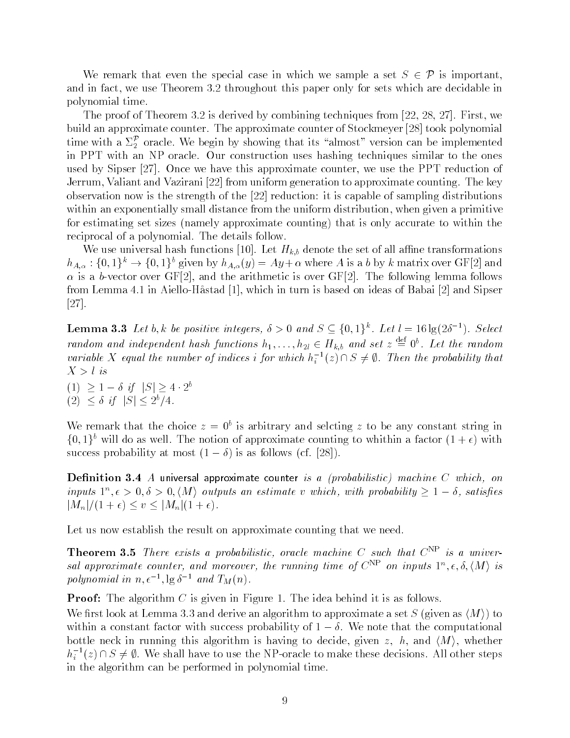We remark that even the special case in which we sample a set  $S \in \mathcal{P}$  is important. and in factor we use the throughout the sets are decided in the sets which are decided in the sets which in polynomial time

The proof of Theorem is derived by combining techniques from  $\mathbf{f}(\mathbf{f})$  . The proof of the proof of the proof of the proof of the proof of the proof of the proof of the proof of the proof of the proof of the proof of build an approximate counter. The approximate counter of Stockmeyer [28] took polynomial time with a  $\Sigma_2^{\mathcal{P}}$  oracle. We begin by showing that its "almost" version can be implemented in PPT with an NP oracle. Our construction uses hashing techniques similar to the ones used by Sipser (=); Once we have the entry opposition of motors, we have the PPT reduction of Jerrum- Valiant and Vazirani from uniform generation to approximate counting The key observation now is the strength of the  $[22]$  reduction: it is capable of sampling distributions with an exponentially small distance from the uniform distribution-from the uniform distribution-from  $\mathbf{u}$ for estimating set sizes namely approximate counting that is only accurate to within the reciprocal of a polynomial The details follow

We use universal hash functions [10]. Let  $H_{k,b}$  denote the set of all affine transformations  $h_{A,\alpha}: \{0,1\}^n \to \{0,1\}^n$  given by  $h_{A,\alpha}(y) = Ay + \alpha$  where A is a b by k matrix over Gr [2] and is a bvector over GF- and the arithmetic is over GF The following lemma follows from Lemma in AielloHastad - which in turn is based on ideas of Babai and Sipser  $[27]$ .

**Lemma 3.3** Let b, k be positive integers,  $\delta > 0$  and  $S \subseteq \{0, 1\}^n$ . Let  $l = 16 \lg(2\delta^{-1})$ . Select random and independent hash functions  $h_1, \ldots, h_{2l} \in H_{k,b}$  and set  $z \equiv 0^\circ$ . Let the random variable X equal the number of indices  $\imath$  for which  $h_i^{-1}(z) \cap S \neq \emptyset$ . Then the probability that

 if jSj  b  $\lfloor 2 \rfloor \searrow 0$  if  $\lfloor 5 \rfloor \searrow 2^{\epsilon}/4$ .

We remark that the choice  $z = 0$  is arbitrary and selcting z to be any constant string in  $\{0,1\}$  will do as well The notion of approximate counting to whithin a factor  $(1+\epsilon)$  with success probability at most  $\mathcal{S}$  as follows  $\mathcal{S}$  at most  $\mathcal{S}$  as follows  $\mathcal{S}$  as follows  $\mathcal{S}$ 

**Denition**  $\mathbf{0}$ **. The universal approximate counter** to a probabilistic machine  $\cup$  which, but inputs  $1^{\circ}$ ,  $\epsilon > 0$ ,  $\circ > 0$ ,  $\langle M \rangle$  outputs an estimate v which, with probability  $\geq 1-\delta$ , satisfies jMnj v jMnj 

Let us now establish the result on approximate counting that we need.

**Theorem 3.5** There exists a probabilistic, oracle machine  $\cup$  such that  $C^{++}$  is a universal approximate counter, and moreover, the running time of  $C^{++}$  on inputs  $1^\circ$ ,  $\epsilon$ ,  $o$ ,  $(M)$  is polynomial in  $n, \epsilon^{-1}, \lg \delta^{-1}$  and  $T_M(n)$ .

Proof The algorithm C is given in Figure The idea behind it is as follows

we recover the contract and derive and derive and derive and algorithm to approximate a set  $\mathcal{C}$  . The set  $\mathcal{C}$ within a constant factor with success probability of  $1 - \delta$ . We note that the computational  $\mathbf{u}$  running this algorithm is having the decide-decide-decide-decide-decide-decide-decide-decide-decide-decide-decide-decide-decide-decide-decide-decide-decide-decide-decide-decide-decide-decide-decide-decide-decide $h_i^{-1}(z) \cap S \neq \emptyset$ . We shall have to use the NP-oracle to make these decisions. All other steps in the algorithm can be performed in polynomial time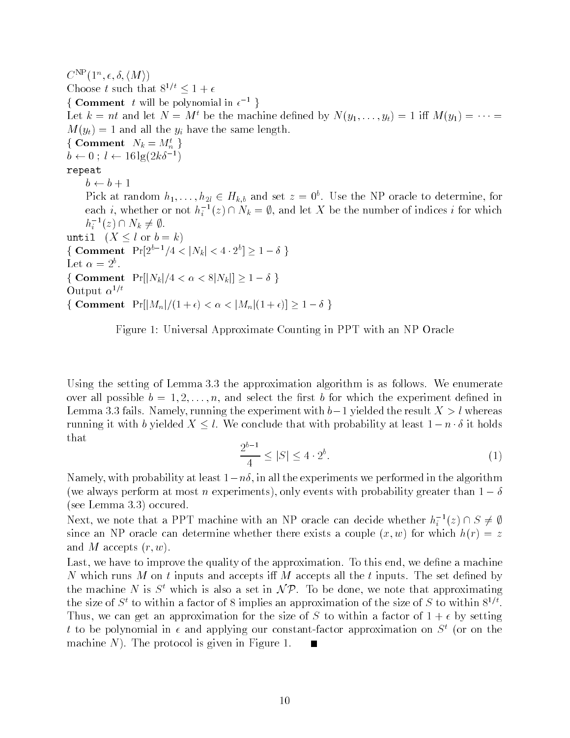$\bigcup$   $\bigcup$   $\bigcup$   $\bigcup$   $\bigcup$   $\bigcup$   $\bigcup$   $\bigcup$   $\bigcup$   $\bigcup$   $\bigcup$   $\bigcup$   $\bigcup$   $\bigcup$   $\bigcup$   $\bigcup$   $\bigcup$   $\bigcup$   $\bigcup$   $\bigcup$   $\bigcup$   $\bigcup$   $\bigcup$   $\bigcup$   $\bigcup$   $\bigcup$   $\bigcup$   $\bigcup$   $\bigcup$   $\bigcup$   $\bigcup$   $\bigcup$   $\bigcup$   $\bigcup$   $\bigcup$   $\bigcup$   $\bigcup$ Choose t such that  $\delta^{\gamma}$   $\leq$  1  $\pm$  6 { Comment t will be polynomial in  $\epsilon^{-1}$  } Let  $\kappa = m$  and let  $N = M$  be the machine defined by  $N(y_1, \ldots, y_t) = 1$  in  $M(y_1) = \cdots =$  $\mathcal{M}$  $\{ \textbf{ Comment} \mid N_k = M_n^t \ \}$  $b \leftarrow 0$ ;  $l \leftarrow 16 \lg(2k\delta^{-1})$ repeat  $b \leftarrow b + 1$ Pick at random  $n_1, \ldots, n_{2l} \in R_{k,b}$  and set  $z = 0$  . Use the NP oracle to determine, for each *i*, whether or not  $h_i^{-1}(z) \cap N_k = \emptyset$ , and let X be the number of indices *i* for which  $h_i^{-1}(z) \cap N_k \neq \emptyset.$ until  $(X \leq l \text{ or } b = k)$ { Comment  $\Pr[2^{b-1}/4 < |N_k| < 4 \cdot 2^b] \ge 1 - \delta$  } Let  $\alpha = 2$ . { Comment  $\textbf{Comment} \hspace{0.2cm} \Pr[|N_k|/4 < \alpha < 8 |N_k|] \geq 1 - \delta \, \}$ Output  $\alpha$ <sup>- $\prime$ </sup>  $\cdot$  $\{$  Comment Pr $\left[|M_n|/(1+\epsilon) < \alpha < |M_n|(1+\epsilon)\right] \geq 1-\delta$  }



Using the setting of Lemma  $3.3$  the approximation algorithm is as follows. We enumerate over all possible b n- and select the rst b for which the experiment dened in Lemma fails Namely- running the experiment with b yielded the result X-l whereas running it with b yielded  $X \leq l$ . We conclude that with probability at least  $1-n \cdot \delta$  it holds that

$$
\frac{2^{b-1}}{4} \le |S| \le 4 \cdot 2^b. \tag{1}
$$

Namely- with probability at least n- in all the experiments we performed in the algorithm we always performance at most neglection  $\mathcal{U}$  at most neglection  $\mathcal{U}$  and  $\mathcal{U}$  see Lemma occured

Next, we note that a PPT machine with an NP oracle can decide whether  $h_i^{-1}(z) \cap S \neq \emptyset$ since an Islam determine which have whether there also a couple  $\{w, w\}$  and which  $\{v\}$ and M accepts the control of the second state of the second state of the second state of the second state of t

Last- we have to improve the quality of the approximation To this end- we dene a machine N which runs M on t inputs and accepts if M accepts all the t inputs. The set defined by the machine N is 5 which is also a set in N  $\mu$ . To be done, we note that approximating the size of  $S^*$  to within a factor of  $\delta$  implies an approximation of the size of  $S$  to within  $\delta^{**}$ . Thus- we can get an approximation for the size of S to within a factor of by setting t to be polynomial in  $\epsilon$  and applying our constant-factor approximation on  $S^t$  (or on the machine New York is given in Figure in Figure in Figure 1. New York is given in Figure 2. New York is given in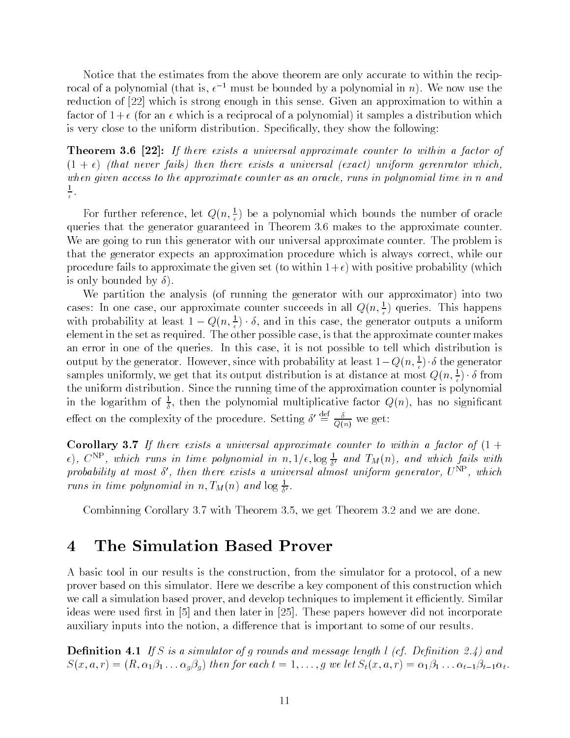Notice that the estimates from the above theorem are only accurate to within the recip rocal of a polynomial (that is,  $\epsilon^{-1}$  must be bounded by a polynomial in n). We now use the reduction of  $[22]$  which is strong enough in this sense. Given an approximation to within a factor of an iteration is a reciprocal of a polynomial of a polynomial of a polynomial  $\mathcal{A}$ is very close to the uniform distribution Specically- they show the following

**THEOLEM ORD [22].** If there exists a universal approximate counter to within a factor of that never fails then the new then the stats a universal exact units a universal exact uniform gerenrator whichwhen given a counter a counter as an oracle-time in polynomial time in n an oracle-time in n and an oracle-time in n and and an oracle- $\frac{1}{\epsilon}$ .

For further reference, let  $Q(n, \frac{1}{\epsilon})$  be a polynomial which bounds the number of oracle queries that the generator guaranteed in Theorem 3.6 makes to the approximate counter. We are going to run this generator with our universal approximate counter. The problem is that the generator expects an approximation procedure which is always correct- while our procedure fails to approximate the given set  $\mathcal{M}$  . The given set  $\mathcal{M}$  which positive probability  $\mathcal{M}$ is only bounded by

where  $\alpha$  is the analysis  $\alpha$  running the generator  $\alpha$  running  $\alpha$  and  $\alpha$  our approximator  $\alpha$  , where  $\alpha$ cases: In one case, our approximate counter succeeds in all  $Q(n, \frac{1}{\epsilon})$  queries. This happens with probability at least  $1-Q(n,\frac{1}{\epsilon})\cdot \delta,$  and in this case, the generator outputs a uniform element in the set as required The other possible cases-the approximate  $\alpha$  cases-the approximate makes  $\alpha$ an error in one of the queries In this case-to-tell which distribution is not possible to tell which distribution is not possible to tell which distribution is not possible to tell which distribution is not possible to the output by the generator. However, since with probability at least  $1-Q(n,\frac{1}{\epsilon})\cdot \delta$  the generator samples uniformly, we get that its output distribution is at distance at most  $Q(n,\frac{1}{\epsilon})\cdot\delta$  from the uniform distribution. Since the running time of the approximation counter is polynomial in the logarithm of  $\frac{1}{5}$ , then the polynomial multiplicative factor  $Q(n)$ , has no significant effect on the complexity of the procedure. Setting  $\delta' \equiv \frac{\delta}{Q(n)}$  we get:

Corollary **O**II If there exists a universal approximate counter to within a factor  $\sigma$  (1  $\pm$  $\epsilon$ ),  $C^{**}$ , which runs in time polynomial in  $n,1/\epsilon, \log \frac{1}{\delta'}$  and  $I_M(n)$ , and which fails with probability at most  $\delta'$ , then there exists a universal almost uniform generator,  $U^{\text{NP}}$ , which runs in time polynomial in  $n, T_M(n)$  and  $\log \frac{1}{\delta'}$ .

combined corollary is the corollary of the corollary  $\mathcal{A}^{++}$  . The mean of the we are done to

## The Simulation Based Prover

... a basic to a new results in the construction-theory is the construction-the simulation-theory at a new col prover based on this simulator. Here we describe a key component of this construction which we call a simulation based prover-based prover-based prover-based prover-based prover-based proverideas were used first in  $\lceil 5 \rceil$  and then later in  $\lceil 25 \rceil$ . These papers however did not incorporate auxiliary into the notion-the notion-the notion-the notion-the notion-the notion-the notion-the notion-the not

**Demition 7.1** If  $\cup$  is a simulator of grounds and message length if  $\cup$ . Definition  $\triangleright$  47 and  $S \setminus \{x, y, z\} \cup \{z, y, z\} = \{z, y, z\}$  and  $S \setminus \{x, y, z\} \cup \{z, y, z\}$  . Then  $S \setminus \{x, y, z\} \cup \{z, y, z\}$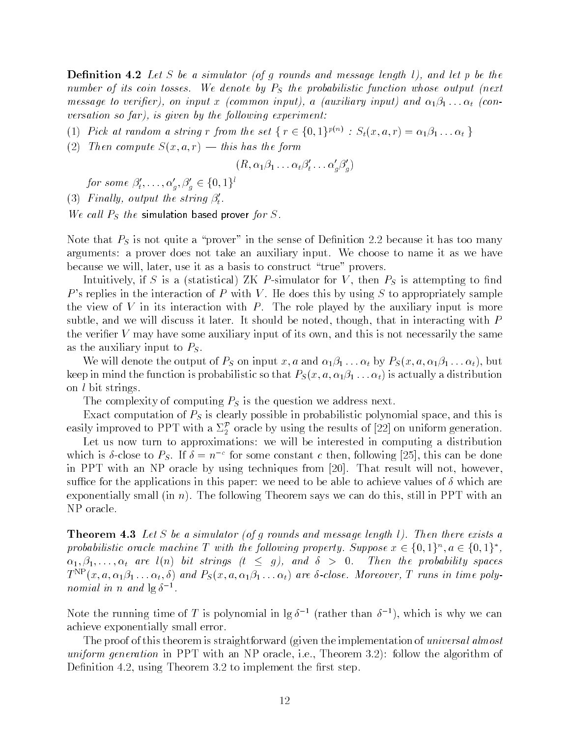$\bf D$  chilition  $\bf T$  ,  $\bf z$  and  $\bf w$  are the conduction of  $\bf y$  are the property of  $\bf w$  and the property of the conduction of  $\bf w$  and  $\bf w$  and  $\bf w$  are the conduction of  $\bf w$  and  $\bf w$  and  $\bf w$  and  $\bf w$  and number of its coin tosses. We denote by  $P<sub>S</sub>$  the probabilistic function whose output (next message to veriginally and input to a continuous input ally to provide the proposalization of the procession versation so far-allowing experiment of the following experiment of the following experiment of the following experiment of the following experiment of the following experiment of the following experiment of the following

(1) Pick at random a string r from the set  $\{T \in \{0, 1\}^{\mu(\cdot)} \, : \, S_t(x, a, r) = \alpha_1 \beta_1 \dots \alpha_t \}$ 

 $\mathbf{r}$  and the form compute S representation of the form compute S representation of the form compute S representation of the form compute S representation of the form compute S representation of the form compute S repr

$$
(R, \alpha_1 \beta_1 \ldots \alpha_t \beta_t' \ldots \alpha_q' \beta_q')
$$

for some  $\beta'_t, \ldots, \alpha'_a, \beta'_a \in \{0,1\}^t$  .

(3) Finally, output the string  $\beta'_t$ .

We call  $P_S$  the simulation based prover for  $S$ .

Note that  $P<sub>S</sub>$  is not quite a "prover" in the sense of Definition 2.2 because it has too many arguments: a prover does not take an auxiliary input. We choose to name it as we have because we will be will because we will be a basis to construct the construction of the construction of the co

Intuitively, it is a functional matrix attempting to the function  $\mu$  at  $\mu$  at  $\mu$  and  $\mu$ P's replies in the interaction of P with V. He does this by using S to appropriately sample the view of  $V$  in its interaction with  $P$ . The role played by the auxiliary input is more subtle-the-contracting it later it is the should be noted-that it should be noted-that  $\Delta$  with Partial D the verificial varies is not and this is not in the same and the same of its own-this is not necessarily the same of as the auxiliary input to  $P<sub>S</sub>$ .

 $\mathbb{P}$  . The output of PS on intervals of PS on in the contract of  $\mathbb{P}$ keep in mind the function is probabilities to the function  $\beta$   $\beta$  is a  $\alpha$   $\beta$   $\beta$  and the function  $\alpha$ on  $l$  bit strings.

The complexity of computing  $P<sub>S</sub>$  is the question we address next.

Exact computation of PS is clearly possible in probabilistic polynomial space- and this is easily improved to PPT with a  $\Sigma_2^{\mathcal{P}}$  oracle by using the results of [22] on uniform generation.

. .  $\Box$ which is  $\delta$ -close to  $P_S$ . If  $\delta = n^{-c}$  for some constant c then, following [25], this can be done in PPT with an NP oracle by using techniques from That result will not- howeversuffice for the applications in this paper: we need to be able to achieve values of  $\delta$  which are exponentially smaller in the following theorem says we can do the following the can do the called the still in NP oracle

**THEOREM THE** *L*et  $\beta$  be a simulator of g rounds and message length  $\ell$ . Then there exists a probabilistic oracle machine T with the following property. Suppose  $x \in \{0,1\}^n$ ,  $a \in \{0,1\}^*$ . the light are light to the probability spaces of the probability spaces of the probability spaces of the probabi  $T\cap (x,a,\alpha_1\rho_1\ldots\alpha_t,o)$  and  $F_S(x,a,\alpha_1\rho_1\ldots\alpha_t)$  are o-close. Moreover, 1 runs in time polynomial in n and  $\lg \delta^{-1}$ .

Note the running time of T is polynomial in  $\lg \delta^{-1}$  (rather than  $\delta^{-1}$ ), which is why we can achieve exponentially small error

The proof of this theorem is straightforward (given the implementation of universal almost uniform generation in PPT with an IPT with an IPT with a NP oracle-follow the algorithm of the algorithm of Denition - using Theorem to implement the rst step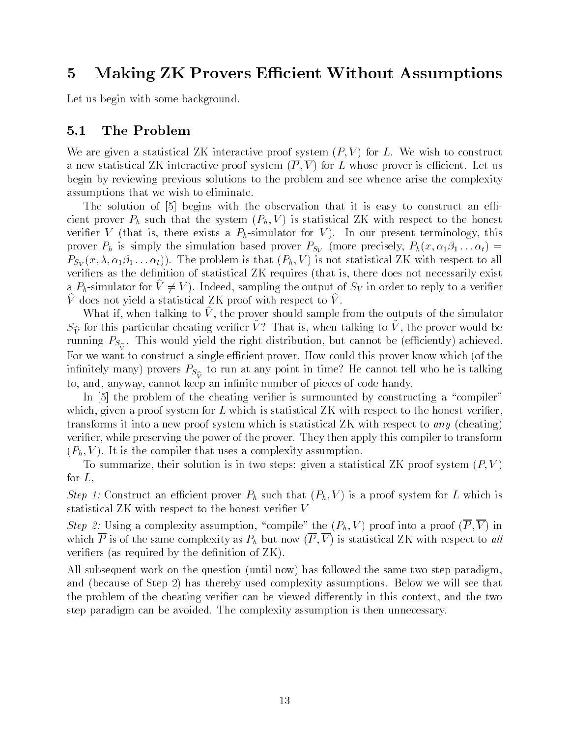# 5 Making ZK Provers Efficient Without Assumptions

Let us begin with some background.

### 5.1 The Problem

we are given a statistical Zee interactive proof system  $\{x_i\}$  , and  $\{x_i\}$  is constructed as a new statistical Machinese is equipment of the system  $\mathbf{f} \bullet \mathbf{f} + \mathbf{f} \bullet \mathbf{f} + \mathbf{f} \bullet \mathbf{f} + \mathbf{f} \bullet \mathbf{f} + \mathbf{f} \bullet \mathbf{f} + \mathbf{f} \bullet \mathbf{f} + \mathbf{f} \bullet \mathbf{f} + \mathbf{f} \bullet \mathbf{f} + \mathbf{f} \bullet \mathbf{f} + \mathbf{f} \bullet \mathbf{f} + \mathbf{f} \bullet \mathbf{f} + \$ begin by reviewing previous solutions to the problem and see whence arise the complexity assumptions that we wish to eliminate

The solution of  $\lceil 5 \rceil$  begins with the observation that it is easy to construct an efficient proven proved that the system  $\mathcal{N}$  is statistical  $\mathcal{N}$  with respect to the honest to the honest to the honest to the honest to the honest to the honest to the honest to the honest to the honest to the honest veries a Virtue is that is seen to a  $V$  continuous and  $V$  , the sees the second terminology for  $\sim$ prover Ph is simply the simulation based prover PSV more precisely- Ph x t  $\mathcal{P}(X \setminus \mathcal{F}) = \mathbf{1} \mathbf{1} \mathbf{1} \mathbf{1} \mathbf{1} \mathbf{1} \mathbf{1} \mathbf{1} \mathbf{1} \mathbf{1} \mathbf{1} \mathbf{1} \mathbf{1} \mathbf{1} \mathbf{1} \mathbf{1} \mathbf{1} \mathbf{1} \mathbf{1} \mathbf{1} \mathbf{1} \mathbf{1} \mathbf{1} \mathbf{1} \mathbf{1} \mathbf{1} \mathbf{1} \mathbf{1} \mathbf{1} \mathbf{1} \mathbf{1} \mathbf{1} \mathbf{1} \mathbf{1$ veries as the denition of statistical  $\mathbf{I}$  requires  $\mathbf{I}$  requires not necessarily existing  $\mathbf{I}$ a  $\Gamma_h$ -simulator for  $v \neq v$  ). Indeed, sampling the output of SV in order to reply to a verifier  $\hat{V}$  does not yield a statistical ZK proof with respect to  $\hat{V}$ .

what if, when talking to  $\nu$  , the prover should sample from the outputs of the simulator  $S_V^{\infty}$  for this particular cheating verifier  $V$  : That is, when talking to V, the prover would be running PS this would the right distribution-term  $\mathbf{u}$  and  $\mathbf{v}$  and  $\mathbf{v}$ For we want to construct a single efficient prover. How could this prover know which (of the innitely many provers PS to run at any point in time He cannot tell who he is talking the international contra to, cannot can in it cannot an in innite and induced an innite and in it and warranty.

In  $\overline{b}$  the problem of the cheating verifier is surmounted by constructing a "compiler" which-distribution-distribution for L which is statistical  $\mathcal{L}(\Lambda)$ transforms it into a new proof system which is statistical  $ZK$  with respect to any (cheating) verier- while preserving the power of the prover They then apply this compiler to transform  $\mathcal{L} = \{0, 1, 1, 1, \cdots, N\}$  . The complexity assumption of the complexity  $\mathcal{L} = \{0, 1, 1, 1, 1, \cdots, N\}$ 

To summarize- their solution is in two steps given a statistical ZK proof system P V for  $L$ ,

 $S$  , and  $S$  is a proportional prover  $P$  such that  $P$  is a proof  $P$   $\{0,1,1,1\}$  is a proof system for  $P$  which is a proof system for  $P$ statistical  $ZK$  with respect to the honest verifier V

 $\mathbb{R}$  into  $\mathbb{R}$  assumption-of-compile  $\mathbb{R}$  assumption-of-compile  $\mathbb{R}$  . In the proof  $\mathbb{R}$  into a proof of  $\mathbb{R}$  into a proof of  $\mathbb{R}$  into a proof of  $\mathbb{R}$  into a proof of  $\mathbb{R}$  into a proof where  $\mathcal{P}$  is a ph but now  $\mathcal{P}$  is statistical ZK with respect to all lines of all lines of all lines of all lines of all lines of all lines of all lines of all lines of all lines of all lines of all lines of all veriers (by the denimination of  $\alpha$  representation of  $\alpha$ 

All subsequent work on the same two step paradigm-dimension  $\mathbf n$  and  $\mathbf n$  and  $\mathbf n$ and is the set of Step  $\equiv$  , and there by used complexities we will see the second complexity will see that  $\cdots$ the problem of the cheating verier can be viewed dierently in this context- and the two step paradigm can be avoided. The complexity assumption is then unnecessary.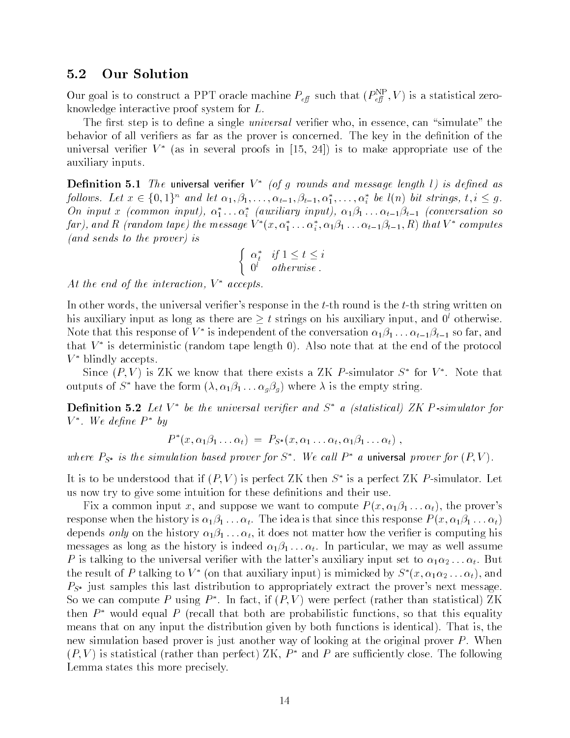### 5.2 Our Solution

Our goal is to construct a PPT oracle machine  $P_{\text{eff}}$  such that  $(P_{\text{eff}}^c|,V)$  is a statistical zeroknowledge interactive proof system for L

The rst step is to denote universal verified universal verified universal verified universal verified universal verified universal verified universal verified universal verified universal verified universal verified unive behavior of all verifiers as far as the prover is concerned. The key in the definition of the universal verifier  $V^*$  (as in several proofs in (15, 24) is to make appropriate use of the auxiliary inputs

**Definition 5.1** The universal verifier  $V^*$  (of g rounds and message length 1) is defined as follows. Let  $x \in \{0,1\}^n$  and let  $\alpha_1, \beta_1, \ldots, \alpha_{t-1}, \beta_{t-1}, \alpha_1^*, \ldots, \alpha_i^*$  be  $l(n)$  bit strings,  $t, i \leq g$ . On input x (common input),  $\alpha_1^* \ldots \alpha_i^*$  (auxiliary input),  $\alpha_1 \beta_1 \ldots \alpha_{t-1} \beta_{t-1}$  (conversation so far), and R (random tape) the message  $V^*(x,\alpha_1^*\ldots\alpha_i^*,\alpha_1\beta_1\ldots\alpha_{t-1}\beta_{t-1},R)$  that  $V^*$  computes (and sends to the prover) is

$$
\begin{cases} \alpha_t^* & \text{if } 1 \leq t \leq i \\ 0^l & otherwise \end{cases}
$$

At the end of the interaction,  $V^*$  accepts.

In other words- the universal veriers response in the tth round is the tth string written on his auxiliary input as long as there are  $\geq t$  strings on his auxiliary input, and  $0^{\circ}$  otherwise. Note that this response of  $V^*$  is independent of the conversation  $\alpha_1\beta_1\ldots\alpha_{t-1}\beta_{t-1}$  so far, and that  $V^*$  is deterministic (random tape length 0). Also note that at the end of the protocol  $V^*$  blindly accepts.

Since  $(P, V)$  is ZK we know that there exists a ZK P-simulator  $S^*$  for  $V^*$ . Note that outputs of  $S^*$  have the form  $(\lambda, \alpha_1 \beta_1 \dots \alpha_g \beta_g)$  where  $\lambda$  is the empty string.

**Definition 5.2** Let  $V^*$  be the universal verifier and  $S^*$  a (statistical) ZK P-simulator for  $V^*$ . We define  $P^*$  by

$$
P^*(x, \alpha_1\beta_1 \ldots \alpha_t) = P_{S^*}(x, \alpha_1 \ldots \alpha_t, \alpha_1\beta_1 \ldots \alpha_t),
$$

where  $P_{S^*}$  is the simulation based prover for  $S^*$ . We call  $P^*$  a universal prover for  $(P, V)$ .

It is to be understood that if  $(P, V)$  is perfect ZK then  $S^*$  is a perfect ZK P-simulator. Let us now try to give some intuition for these definitions and their use.

Fix a common input x- and suppose we want to compute P x t - the provers response when the history is the idea is that since the idea is that since the idea is that since  $\mathcal{U}$ depends only on the history clip is topics not matter history that we construct is computing history that the messages as the history is indeed to the history is indeed in particular-terms of  $\mathbf{u}$ P is talking to the universal verier with the latters auxiliary input set to t But the result of P talking to  $V^*$  (on that auxiliary input) is mimicked by  $S^*(x, \alpha_1\alpha_2 \ldots \alpha_t)$ , and  $P_{S^*}$  just samples this last distribution to appropriately extract the prover's next message. So we can compute P using  $P^*$ . In fact, if  $(P, V)$  were perfect (rather than statistical) ZK then  $P^*$  would equal P (recall that both are probabilistic functions, so that this equality means that on any input the distribution given by both functions is identically input that is identically  $\mathbf{r}$ new simulation based prover is just another way of looking at the original prover  $P$ . When  $(P, V)$  is statistical (rather than perfect) ZK,  $P^*$  and P are sufficiently close. The following Lemma states this more precisely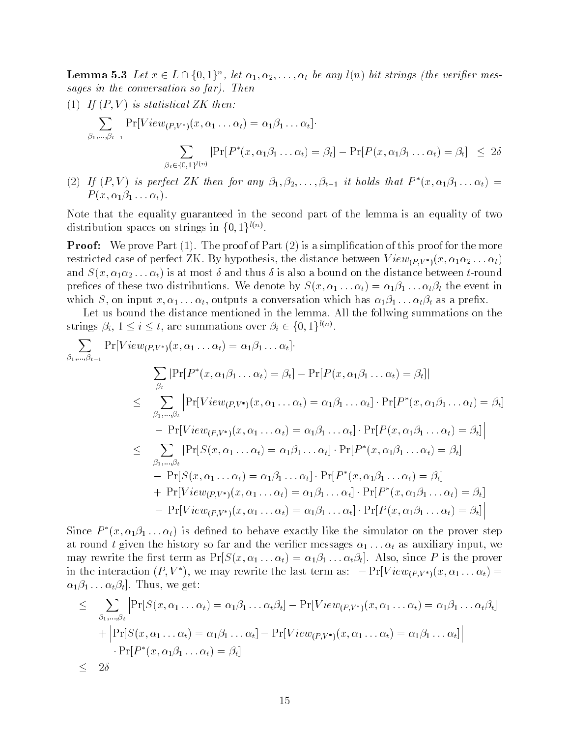**Lemma 5.5** Let  $x \in L \cap \{0, 1\}^n$ , let  $\alpha_1, \alpha_2, \ldots, \alpha_t$  be any  $\iota(n)$  but strings (the vertiler messages in the conversation so  $\ell$ ar). Then

- $\mathbf{I}$  is statistical  $\mathbf{I}$  . Then  $\mathbf{I}$  is statistical  $\mathbf{I}$  is statistical  $\mathbf{I}$  $\overline{\phantom{a}}$   $\overline{\phantom{a}}$   $\overline{\phantom{a}}$   $\overline{\phantom{a}}$   $\overline{\phantom{a}}$   $\overline{\phantom{a}}$   $\overline{\phantom{a}}$   $\overline{\phantom{a}}$   $\overline{\phantom{a}}$   $\overline{\phantom{a}}$   $\overline{\phantom{a}}$   $\overline{\phantom{a}}$   $\overline{\phantom{a}}$   $\overline{\phantom{a}}$   $\overline{\phantom{a}}$   $\overline{\phantom{a}}$   $\overline{\phantom{a}}$   $\overline{\phantom{a}}$   $\overline{\$  $\beta_1,...,\beta_{t-1}$   $\beta_{t-1}$  $\overline{\phantom{a}}$   $\overline{\phantom{a}}$   $\overline{\phantom{a}}$   $\overline{\phantom{a}}$   $\overline{\phantom{a}}$   $\overline{\phantom{a}}$   $\overline{\phantom{a}}$   $\overline{\phantom{a}}$   $\overline{\phantom{a}}$   $\overline{\phantom{a}}$   $\overline{\phantom{a}}$   $\overline{\phantom{a}}$   $\overline{\phantom{a}}$   $\overline{\phantom{a}}$   $\overline{\phantom{a}}$   $\overline{\phantom{a}}$   $\overline{\phantom{a}}$   $\overline{\phantom{a}}$   $\overline{\$  $\beta_t \in \{0,1\}^{l(n)}$  $\left|\Pr[P^*(x, \alpha_1\beta_1 \dots \alpha_t) = \beta_t] - \Pr[P(x, \alpha_1\beta_1 \dots \alpha_t) = \beta_t]\right| \leq 2\delta$
- (2) If  $(P, V)$  is perfect ZK then for any  $\beta_1, \beta_2, \ldots, \beta_{t-1}$  it holds that  $P^*(x, \alpha_1\beta_1 \ldots \alpha_t) =$ P A that Philip P is the Philip Philip Philip Philip Philip Philip Philip Philip Philip Philip Philip Philip P

Note that the equality guaranteed in the second part of the lemma is an equality of two distribution spaces on strings in  $\{0, 1\}^{\{0, \infty\}}$ .

 $\blacksquare$  . The provent  $\{f\}$  , the proof of  $\blacksquare$  we define the more contained by the simplication of  $\blacksquare$ restricted case of perfect  $\mathbf{m}_j$   $\mathbf{m}_j$  pethods, the distance between  $\mathbf{v}$  is  $\mathbf{r}_j$   $\mathbf{w}_j$  and  $\mathbf{r}_j$  if  $\mathbf{w}_j$ and S  $\mathcal{N}$  is at  $\mathcal{N}$  , is also and thus thus distance between the distance between the distance between the distance precess of the event in the event in the event in the event in the event in the event in the event in the event in the event in the event in the event in the event in the event in the event in the event in the event in th which S-ray is a conversation which has a conversation which has a present of  $\mathbb{R}^n$  and  $\mathbb{R}^n$  and  $\mathbb{R}^n$  and  $\mathbb{R}^n$  are a present of  $\mathbb{R}^n$  and  $\mathbb{R}^n$  and  $\mathbb{R}^n$  are a present of  $\mathbb{R}^n$  a

Let us bound the distance mentioned in the lemma All the follwing summations on the strings  $\rho_i$ ,  $1 \leq i \leq t$ , are summations over  $\rho_i \in \{0,1\}^{\cdots}$ .

$$
\sum_{\beta_1,\dots,\beta_{t-1}} \Pr[View_{(P,V^*)}(x,\alpha_1\dots\alpha_t) = \alpha_1\beta_1\dots\alpha_t] \cdot \sum_{\beta_t} |\Pr[P^*(x,\alpha_1\beta_1\dots\alpha_t) = \beta_t] - \Pr[P(x,\alpha_1\beta_1\dots\alpha_t) = \beta_t]|
$$
\n
$$
\leq \sum_{\beta_1,\dots,\beta_t} |\Pr[View_{(P,V^*)}(x,\alpha_1\dots\alpha_t) = \alpha_1\beta_1\dots\alpha_t] \cdot \Pr[P^*(x,\alpha_1\beta_1\dots\alpha_t) = \beta_t]
$$
\n
$$
- \Pr[View_{(P,V^*)}(x,\alpha_1\dots\alpha_t) = \alpha_1\beta_1\dots\alpha_t] \cdot \Pr[P(x,\alpha_1\beta_1\dots\alpha_t) = \beta_t]|
$$
\n
$$
\leq \sum_{\beta_1,\dots,\beta_t} |\Pr[S(x,\alpha_1\dots\alpha_t) = \alpha_1\beta_1\dots\alpha_t] \cdot \Pr[P^*(x,\alpha_1\beta_1\dots\alpha_t) = \beta_t]
$$
\n
$$
- \Pr[S(x,\alpha_1\dots\alpha_t) = \alpha_1\beta_1\dots\alpha_t] \cdot \Pr[P^*(x,\alpha_1\beta_1\dots\alpha_t) = \beta_t]
$$
\n
$$
+ \Pr[View_{(P,V^*)}(x,\alpha_1\dots\alpha_t) = \alpha_1\beta_1\dots\alpha_t] \cdot \Pr[P^*(x,\alpha_1\beta_1\dots\alpha_t) = \beta_t]
$$
\n
$$
- \Pr[View_{(P,V^*)}(x,\alpha_1\dots\alpha_t) = \alpha_1\beta_1\dots\alpha_t] \cdot \Pr[P(x,\alpha_1\beta_1\dots\alpha_t) = \beta_t]
$$

Since  $P^*(x, \alpha_1\beta_1 \ldots \alpha_t)$  is defined to behave exactly like the simulator on the prover step at round t given the history so far and the verification interestingly all the verifications were seen as all may rewrite the next term as PrS $\backslash$  the proverse  $\backslash$  . The proverse proverse  $\backslash$  the proverse  $\backslash$ in the interaction  $(P, V^*)$ , we may rewrite the last term as:  $-Pr|View_{(PV^*)}(x, \alpha_1 \ldots \alpha_t)$  = tt Thus- we get

$$
\leq \sum_{\beta_1,\dots,\beta_t} \left| \Pr[S(x,\alpha_1\dots\alpha_t) = \alpha_1\beta_1\dots\alpha_t\beta_t] - \Pr[View_{(P,V^*)}(x,\alpha_1\dots\alpha_t) = \alpha_1\beta_1\dots\alpha_t\beta_t] \right|
$$
  
+ 
$$
\left| \Pr[S(x,\alpha_1\dots\alpha_t) = \alpha_1\beta_1\dots\alpha_t] - \Pr[View_{(P,V^*)}(x,\alpha_1\dots\alpha_t) = \alpha_1\beta_1\dots\alpha_t] \right|
$$
  

$$
\cdot \Pr[P^*(x,\alpha_1\beta_1\dots\alpha_t) = \beta_t]
$$
  

$$
\leq 2\delta
$$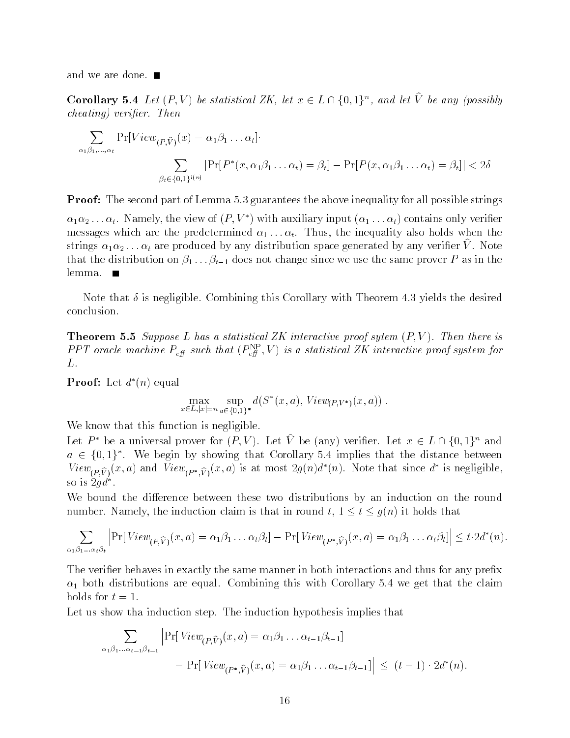and we are done.

Corollary 5.4 Let  $(F, V)$  be statistical  $\angle{K}$ , let  $x \in L \sqcup \{\emptyset, \bot\}$ , and let  $V$  be any (possibly cheating) verifier. Then

$$
\sum_{\alpha_1 \beta_1, \dots, \alpha_t} \Pr[View_{(P,\widehat{V})}(x) = \alpha_1 \beta_1 \dots \alpha_t].
$$
  

$$
\sum_{\beta_t \in \{0,1\}^{l(n)}} |\Pr[P^*(x, \alpha_1 \beta_1 \dots \alpha_t) = \beta_t] - \Pr[P(x, \alpha_1 \beta_1 \dots \alpha_t) = \beta_t]| < 2\delta
$$

Proof The second part of Lemma guarantees the above inequality for all possible strings

 $\alpha_1\alpha_2\ldots\alpha_t$ . Namely, the view of  $(P, V^*)$  with auxiliary input  $(\alpha_1 \ldots \alpha_t)$  contains only verifier messages which are the predetermined also holds which the inequality also holds when the international strings  $\alpha_1\alpha_2\dots\alpha_t$  are produced by any distribution space generated by any verifier  $v$  . Note that the distribution on  $\beta_1, \beta_2 \models \beta_1$  as  $\alpha$  not change since we use the same prover P as in the lemma.  $\blacksquare$ 

Note that  $\delta$  is negligible. Combining this Corollary with Theorem 4.3 yields the desired conclusion

**THEOREM 0.0** Duppose L has a statistical LIV interactive proof sytem  $(T, V)$ . Then there is PPI oracle machine  $P_{\rm eff}$  such that  $(P_{\rm eff}^{\rm eff}$  , V) is a statistical ZK interactive proof system for L.

**Proof:** Let  $d^*(n)$  equal

$$
\max_{x \in L, |x|=n} \sup_{a \in \{0,1\}^*} d(S^*(x, a), View_{(P, V^*)}(x, a))
$$

We know that this function is negligible.

Let  $P^*$  be a universal prover for  $(P, V)$ . Let V be (any) verifier. Let  $x \in L \cap \{0,1\}^n$  and  $a \in \{0,1\}^*$ . We begin by showing that Corollary 5.4 implies that the distance between View<sub>(P.V)</sub>(x, a) and View<sub>(P\*,V)</sub>(x, a) is at most  $2g(n)d^{*}(n)$ . Note that since  $d^{*}$  is negligible, so is  $2qd^*$ .

We bound the difference between these two distributions by an induction on the round number the induction claim is that induction to the induction to the contract that in the contract of the contr

$$
\sum_{\alpha_1\beta_1...\alpha_t\beta_t} \left| \Pr[\text{View}_{(P,\widehat{V})}(x,a) = \alpha_1\beta_1...\alpha_t\beta_t] - \Pr[\text{View}_{(P^*,\widehat{V})}(x,a) = \alpha_1\beta_1...\alpha_t\beta_t] \right| \leq t \cdot 2d^*(n).
$$

The verifier behaves in exactly the same manner in both interactions and thus for any prefix both distributions are equal Combining this with Corollary we get that the claim holds for  $t=1$ .

Let us show tha induction step. The induction hypothesis implies that

$$
\sum_{\alpha_1 \beta_1 \dots \alpha_{t-1} \beta_{t-1}} \left| \Pr[View_{(P, \widehat{V})}(x, a) = \alpha_1 \beta_1 \dots \alpha_{t-1} \beta_{t-1}] \right|
$$
  
- 
$$
\Pr[View_{(P^*, \widehat{V})}(x, a) = \alpha_1 \beta_1 \dots \alpha_{t-1} \beta_{t-1}] \right| \le (t-1) \cdot 2d^*(n)
$$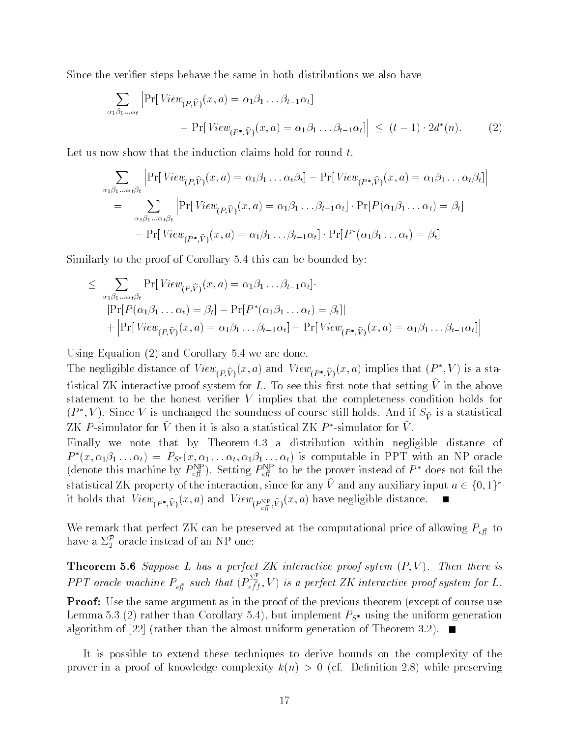Since the verifier steps behave the same in both distributions we also have

$$
\sum_{\alpha_1 \beta_1 \dots \alpha_t} \left| \Pr[View_{(P,\widehat{V})}(x, a) = \alpha_1 \beta_1 \dots \beta_{t-1} \alpha_t] - \Pr[View_{(P^*,\widehat{V})}(x, a) = \alpha_1 \beta_1 \dots \beta_{t-1} \alpha_t] \right| \le (t-1) \cdot 2d^*(n). \tag{2}
$$

Let us now show that the induction claims hold for round  $t$ .

$$
\sum_{\alpha_1 \beta_1...\alpha_t \beta_t} \left| \Pr[View_{(P,\widehat{V})}(x, a) = \alpha_1 \beta_1 ... \alpha_t \beta_t] - \Pr[View_{(P^*,\widehat{V})}(x, a) = \alpha_1 \beta_1 ... \alpha_t \beta_t] \right|
$$
  
= 
$$
\sum_{\alpha_1 \beta_1...\alpha_t \beta_t} \left| \Pr[View_{(P,\widehat{V})}(x, a) = \alpha_1 \beta_1 ... \beta_{t-1} \alpha_t] \cdot \Pr[P(\alpha_1 \beta_1 ... \alpha_t) = \beta_t] \right|
$$
  
- 
$$
-\Pr[View_{(P^*,\widehat{V})}(x, a) = \alpha_1 \beta_1 ... \beta_{t-1} \alpha_t] \cdot \Pr[Pre(\alpha_1 \beta_1 ... \alpha_t) = \beta_t] \right|
$$

Similarly to the proof of Corollary 5.4 this can be bounded by:

$$
\leq \sum_{\alpha_1 \beta_1 ... \alpha_t \beta_t} \Pr[View_{(P,\widehat{V})}(x, a) = \alpha_1 \beta_1 ... \beta_{t-1} \alpha_t] \cdot \Pr[P(P(\alpha_1 \beta_1 ... \alpha_t) = \beta_t] - \Pr[P^*(\alpha_1 \beta_1 ... \alpha_t) = \beta_t]]
$$
  
+ 
$$
\left| \Pr[View_{(P,\widehat{V})}(x, a) = \alpha_1 \beta_1 ... \beta_{t-1} \alpha_t] - \Pr[View_{(P^*,\widehat{V})}(x, a) = \alpha_1 \beta_1 ... \beta_{t-1} \alpha_t] \right|
$$

Using Equation (E) we are donessed to be and corollary the corollary of the corollary of the corollary of the corollary of the corollary of the corollary of the corollary of the corollary of the corollary of the corollary

The negligible distance of  $View_{(P\hat{V})}(x, a)$  and  $View_{(P^*,\hat{V})}(x, a)$  implies that  $(P^*, V)$  is a statistical ZK interactive proof system for L. To see this first note that setting  $\hat{V}$  in the above statement to be the honest verifier  $V$  implies that the completeness condition holds for  $(P^*,V)$ . Since V is unchanged the soundness of course still holds. And if  $S_{\widehat{V}}$  is a statistical ZK P-simulator for V then it is also a statistical ZK  $P^*$ -simulator for V.

Finally we note that by Theorem 4.3 a distribution within negligible distance of  $P^*(x, \alpha_1\beta_1 \ldots \alpha_t) = P_{S^*}(x, \alpha_1 \ldots \alpha_t, \alpha_1\beta_1 \ldots \alpha_t)$  is computable in PPT with an NP oracle (denote this machine by  $P_{\text{eff}}^{\text{NP}}$ ). Setting  $P_{\text{eff}}^{\text{NP}}$  to be the prover instead of  $P^*$  does not foil the statistical ZK property of the interaction, since for any V and any auxiliary input  $a \in \{0,1\}^*$ it holds that  $(P^*,V)$  (x, x) and  $V^* \in (P^*,V)$  (x, y, y, and  $V^* \in (P^*,V)$ 

We remark that perfect ZK can be preserved at the computational price of allowing  $P_{\text{eff}}$  to have a  $\Sigma_2^\mathcal{P}$  oracle instead of an NP one:

**THEOREM STO** DUPPOSE L HUS WE PERFECT ZIX INTERACTIVE PROOF SYTEM  $(T, V)$ . THEN THEIR IS  $\epsilon$ PT oracle mathematic mathematic mathematic mathematic mathematic mathematic mathematic mathematic mathematic mathematic mathematic mathematic mathematic mathematic mathematic mathematic mathematic mathematic mathemati  $\binom{2}{e f}$ , V) is a perfect ZK interactive proof system for L.

**Provi**o case the same argument as in the proof of the previous theorem (sheeps of course use  $\sim$  $\mathcal{L}$  . That is that corollary  $\mathcal{L}$  , we impressed to uniform generation algorithm of  $\Gamma$  rather than the almost uniform generation of  $\Gamma$ 

It is possible to extend these techniques to derive bounds on the complexity of the prover in a proven in a proven in a proven in a problem in a problem in a problem in a problem in a problem in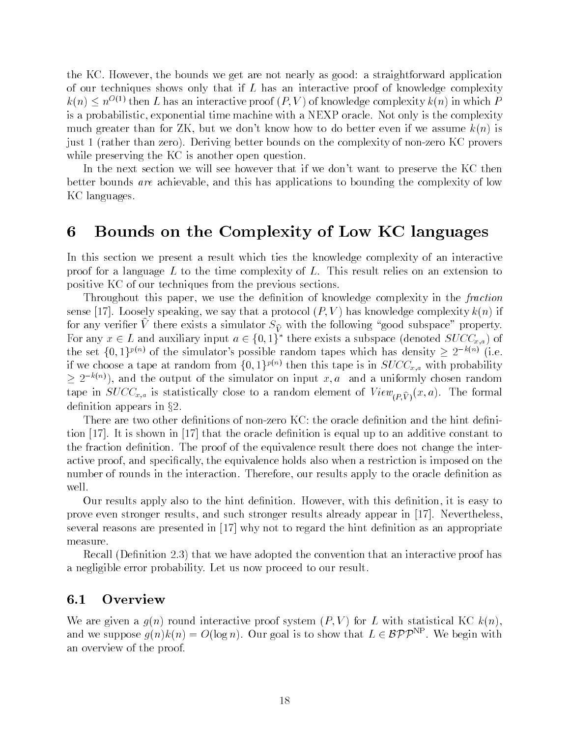the KC However-C However-C However-C However-C However-C However-C However-C However-C However-C However-C Howeverof our techniques shows only that if  $L$  has an interactive proof of knowledge complexity  $\kappa(n) \leq n^{-(\epsilon)}$  then L has an interactive proof  $(P, V)$  of knowledge complexity  $\kappa(n)$  in which  $P$ is a probabilistic- exponential time machine with a NEXP oracle Not only is the complexity is a but we do better than for  $\mathbf{A}$  -  $\mathbf{A}$ just a janther thank also, a letter bound solita so annual the complexity of nonzero Algorithmetro K while preserving the KC is another open question.

In the next section we will see however that if we don't want to preserve the KC then better bounds are achieved this has a chief this has applications to bounding the complexity of low-KC languages.

## 6 Bounds on the Complexity of Low KC languages

In this section we present a result which ties the knowledge complexity of an interactive proof for a language L to the time complexity of L. This result relies on an extension to positive KC of our techniques from the previous sections

Throughout this paper- we use the denition of knowledge complexity in the fraction sense in the complexity complexity complexity complexity complexity complexity complexity complexity complexity complexity complexity complexity complexity complexity complexity complexity complexity complexity complexity for any verifier  $V$  there exists a simulator  $\beta \widehat{V}$  with the following  $V$  good subspace  $V$  property. For any  $x \in L$  and auxiliary input  $a \in \{0,1\}^*$  there exists a subspace (denoted  $SUCC_{x,a}$ ) of the set  $\{0,1\}^{p(n)}$  of the simulator's possible random tapes which has density  $\geq 2^{-k(n)}$  (i.e. if we choose a tape at random from  $\{0,1\}^{p(n)}$  then this tape is in  $SUCC_{x,a}$  with probability  $\geq 2^{-\kappa(n)}$ , and the output of the simulator on input x, a and a uniformly chosen random tape in SUCC $\mu$  is statistically contributed to a random element of  $\mu$   $\mu$ definition appears in  $\S 2$ .

There are two other definitions of non-zero KC: the oracle definition and the hint definition  $[17]$ . It is shown in  $[17]$  that the oracle definition is equal up to an additive constant to the fraction definition. The proof of the equivalence result there does not change the interactive proof-bactive proof-bactive holds also when a restriction is imposed on the equivalence holds also when number of rounds in the interaction Therefore- our results apply to the oracle denition as well

Our results apply also to the hint denition However- with this denition- it is easy to prove even stronger results- and such stronger results already appear in Neverthelessseveral reasons are presented in  $\left[17\right]$  why not to regard the hint definition as an appropriate measure

recall  $\mathcal{C}$  is convention and  $\mathcal{C}$  , and is the convention that an interactive proof that an interactive proof  $\mathcal{C}$ a negligible error probability. Let us now proceed to our result.

#### $6.1$ **Overview**

where  $\alpha$  round interactive proof system interactive process interactive proof system interactive and interact and we suppose  $q(n)k(n) = O(\log n)$ . Our goal is to show that  $L \in {\cal BPT}^{\sim}$  , we begin with an overview of the proof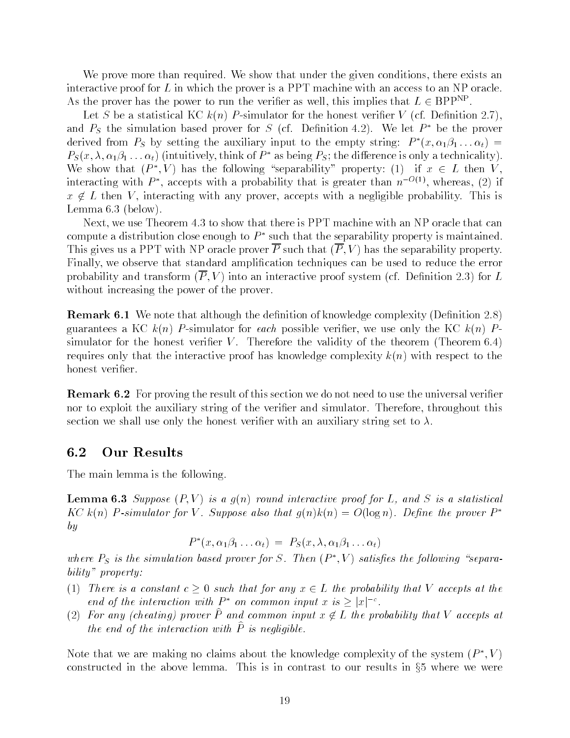We prove more than required We show that under the given conditions- there exists an interactive proof for  $L$  in which the prover is a PPT machine with an access to an NP oracle. As the prover has the power to run the verifier as well, this implies that  $L \in \mathrm{BPP^{\ast +}}$  .

Let S be a statistical KC k n P simulator for the honest verier V cf Denition and  $P_S$  the simulation based prover for S (cf. Definition 4.2). We let  $P^*$  be the prover derived from  $P_S$  by setting the auxiliary input to the empty string:  $P^*(x, \alpha_1\beta_1 \dots \alpha_t) =$  $P_S(x, \lambda, \alpha_1\beta_1 \ldots \alpha_t)$  (intuitively, think of  $P^*$  as being  $P_S$ ; the difference is only a technicality). We show that  $(P^*, V)$  has the following "separability" property: (1) if  $x \in L$  then V, interacting with  $P^*$ , accepts with a probability that is greater than  $n^{-O(1)}$ , whereas, (2) if  $\blacksquare$  . Then  $\blacksquare$  interacting with a negligible probability This is interacting that is in the set of  $\blacksquare$  $\mathcal{L}$  below the lemma of the lemma of the lemma of the lemma of the lemma of the lemma of the lemma of the lemma of the lemma of the lemma of the lemma of the lemma of the lemma of the lemma of the lemma of the lemma o

....., we use theorem is the theorem in the theorem is the show that the state that the state that compute a distribution close enough to  $P^*$  such that the separability property is maintained. This gives a PPT oracle prover P such that  $\mathbf{P}$  is the separable property property. Finally- we observe that standard amplication techniques can be used to reduce the error  $\mathbf 1$  into an interactive probability probability proof system  $\mathbf 1$  interactive proof system  $\mathbf 1$ without increasing the power of the prover.

**Remark 0.1** We note that although the denimition of knowledge complexity (Denimition 2.0) a KC konstanteer a KC konstanteer aan de begin de weerste verier- we use only the KC konstanteer and the KC ko simulator for the honest verifier V. Therefore the validity of the theorem  $($ Theorem  $6.4)$ requires only that the interactive proof has knowledge complexity kyes, where they are the honest verifier.

**Itermark**  $\sigma$ **.2** For proving the result of this section we do not need to use the universal verifier nor to exploit the auxiliary string of the verier and simulator Therefore- throughout this section we shall use only the honest verifier with an auxiliary string set to  $\lambda$ .

### 6.2 Our Results

The main lemma is the following

**Lemma vio** Duppose  $\{I, V\}$  to a que round interactive proof for L, una D to a statistical KC k(n) P-simulator for V. Suppose also that  $q(n)k(n) = O(\log n)$ . Define the prover  $P^*$ by

$$
P^*(x, \alpha_1 \beta_1 \ldots \alpha_t) = P_S(x, \lambda, \alpha_1 \beta_1 \ldots \alpha_t)
$$

where  $P_S$  is the simulation based prover for S. Then  $(P^*,V)$  satisfies the following "separability" property:

- There is a constant constant c such that for any  $L$  that for any  $L$  the probability that  $\mathcal{L}$ end of the interaction with  $P^*$  on common input x is  $\geq |x|^{-c}$ .
- $(2)$  for any (cheating) prover  $F$  and common input  $x \notin L$  the probability that  $V$  accepts at the end of the interaction with  $\hat{P}$  is negligible.

Note that we are making no claims about the knowledge complexity of the system  $(P^*, V)$ constructed in the above lemma. This is in contrast to our results in  $\S5$  where we were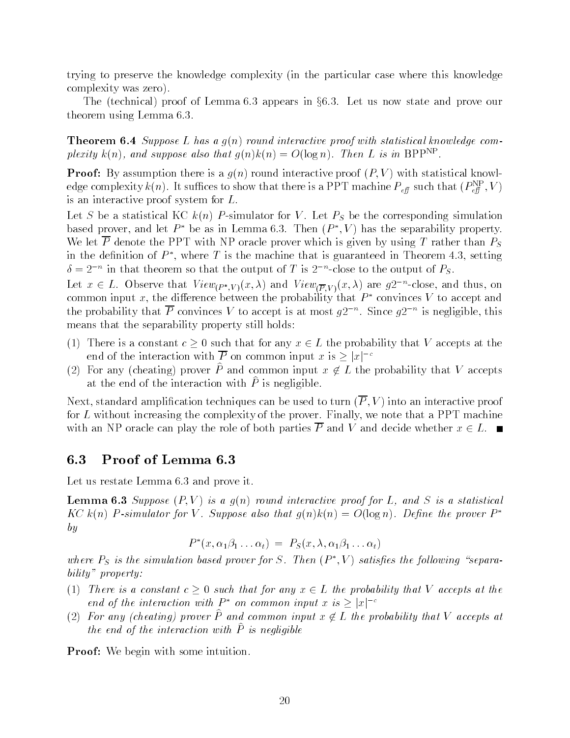trying to preserve the knowledge complexity (in the particular case where this knowledge complexity was complexity and complete the series of the contract of the contract of the contract of the contract of the contract of the contract of the contract of the contract of the contract of the contract of the contr

the issues in the Lemma appears in the complete  $\mathcal{L}$ theorem using Lemma 6.3.

**THEOLEM OFT** Duppose L has a ging round interactive proof with statistical knowledge complexity  $\kappa(n)$ , and suppose also that  $q(n)\kappa(n) = O(\log n)$ . Then L is in BPP.

**Province is a good to the computation to the statistical contractive province is a good interaction interactive** edge complexity  $\kappa(n)$ . It suffices to show that there is a PPT machine  $P_{\text{eff}}$  such that  $(P_{\text{eff}}^-, V)$ is an interactive proof system for  $L$ .

Let  $S$  be a statistical KC  $\alpha$  in the corresponding simulation of  $S$  is a statistical simulation of  $S$ based prover, and let  $P^*$  be as in Lemma 6.3. Then  $(P^*,V)$  has the separability property. We let  $\overline{P}$  denote the PPT with NP oracle prover which is given by using T rather than  $P_S$ in the definition of  $P^*$ , where T is the machine that is guaranteed in Theorem 4.3, setting  $\delta = 2^{-n}$  in that theorem so that the output of T is  $2^{-n}$ -close to the output of  $P_S$ .

Let  $x \in L$ . Observe that  $View_{(P^*,V)}(x,\lambda)$  and  $View_{(\overline{P},V)}(x,\lambda)$  are  $g2^{-n}$ -close, and thus, on common input x, the difference between the probability that  $P^*$  convinces V to accept and the probability that P convinces V to accept is at most  $q2^{-n}$ . Since  $q2^{-n}$  is negligible, this means that the separability property still holds:

- There is a constant c such that for any x L the probability that V accepts at the end of the interaction with  $\overline{P}$  on common input x is  $> |x|^{-c}$
- (2) For any (cheating) prover F and common input  $x \notin L$  the probability that V accepts at the end of the interaction with  $\hat{P}$  is negligible.

Next- standard amplication techniques can be used to turn PV into an interactive proof ... we not for the complexity of the proverse proverse finally-complexity of the prover  $\mathbb{R}^n$  . The prover  $\mathbb{R}^n$ with an NP oracle can play the role of both parties  $\overline{P}$  and V and decide whether  $x \in L$ .

#### 6.3 Proof of Lemma

Let us restate Lemma  $6.3$  and prove it.

**Lemma vio** Duppose  $\{I, V\}$  to a  $q(\{u\})$  round interactive proof for L, und D to a statistical KC k(n) P-simulator for V. Suppose also that  $q(n)k(n) = O(\log n)$ . Define the prover  $P^*$ by

$$
P^*(x, \alpha_1 \beta_1 \ldots \alpha_t) = P_S(x, \lambda, \alpha_1 \beta_1 \ldots \alpha_t)
$$

where  $P_S$  is the simulation based prover for S. Then  $(P^*,V)$  satisfies the following "separability" property:

- There is a constant constant constant constant constant  $\mu$  and  $\mu$  accepts at the probability that V accepts at the probability that  $\mu$ end of the interaction with  $P^*$  on common input x is  $\geq |x|^{-c}$
- $(2)$  for any (cheating) prover  $F$  and common input  $x \notin L$  the probability that  $V$  accepts at the end of the interaction with  $\hat{P}$  is negligible

Proof We begin with some intuition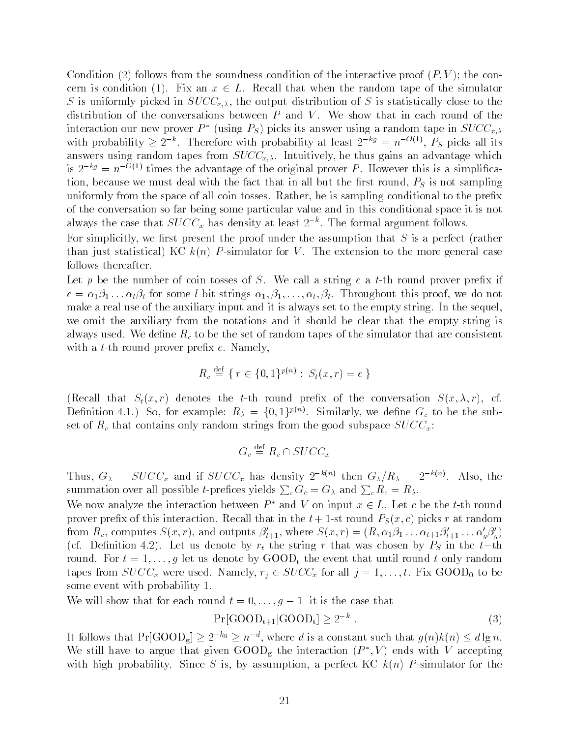$\blacksquare$  follows from the soundness condition of the interaction of the interaction of the interaction of the interaction of the interaction of the interaction of the interaction of the interaction of the interaction of the cern is condition  $\{ \bullet \}$  . An in the random tape of the simulation that when the random tape of the simulator s is uniformly picked in SUCCX-WAA and SUCCX-Care in SUCCIDE to the output of SUCCIDE is statistically close to the distribution of the conversations between  $P$  and  $V$ . We show that in each round of the interaction our new prover  $P^*$  (using  $P_S$ ) picks its answer using a random tape in  $SUCC_{x,\lambda}$ with probability  $\geq 2^{-\kappa}$ . Therefore with probability at least  $2^{-\kappa g} = n^{-\nu(1)}$ ,  $P_S$  picks all its answers using random tapes from SUCCX International contraction of the thus gains and  $\alpha$ is  $2^{-kg} = n^{-O(1)}$  times the advantage of the original prover P. However this is a simplifica- $\alpha$  is the fact that the fact that in all but the fact that in all but the rest  $\alpha$  is not sampling  $\alpha$ uniformly from the space of all coin tosses Rather- he is sampling conditional to the prex of the conversation so far being some particular value and in this conditional space it is not always the case that  $SUCC_x$  has density at least  $2^{-n}$ . The formal argument follows.

For simplicitly- we rst present the proof under the assumption that S is a perfect rather than just statistically for  $\mathcal{N}$  the extension to the more general case  $\mathcal{N}$ follows thereafter

Let p be the number of coin tosses of S. We call a string c a t-th round prover prefix if c is the form of the strings in the strings in the proof-collection throughout throughout the strings in the str make a real use of the auxiliary input and it is always set to the empty string. In the sequel, we omit the auxiliary from the notations and it should be clear that the empty string is always used. We define  $R_c$  to be the set of random tapes of the simulator that are consistent with a t-th round prover prefix  $c$ . Namely,

$$
R_c \stackrel{\text{def}}{=} \{ r \in \{0, 1\}^{p(n)} : S_t(x, r) = c \}
$$

 $\Lambda = \tau$  and the term of the conversation  $\Gamma$  recall the conversation  $\Gamma$  recall the conversation  $\Gamma$ Dennition 4.1.) So, for example:  $R_{\lambda} = \{0,1\}^{P(\nu)}$ . Similarly, we denne  $G_c$  to be the subset of  $R_c$  that contains only random strings from the good subspace  $SUCC_x$ :

$$
G_c \stackrel{\rm def}{=} R_c \cap SUCC_x
$$

Thus,  $G_{\lambda} = SUCC_x$  and if  $SUCC_x$  has density  $2^{-\kappa(n)}$  then  $G_{\lambda}/R_{\lambda} = 2^{-\kappa(n)}$ . Also, the summation over all possible *t*-prefices yields  $\sum_c G_c = G_\lambda$  and  $\sum_c R_c = R_\lambda$ .

We now analyze the interaction between  $P^*$  and V on input  $x \in L$ . Let c be the t-th round prover pressure that interaction recall that in the this in the t  $\alpha$  called  $\alpha$   $\alpha$   $\beta$   $\gamma$  picks  $\alpha$  at random  $\alpha$ from  $R_c$ , computes  $S(x,r)$ , and outputs  $\beta'_{t+1}$ , where  $S(x,r) = (R, \alpha_1 \beta_1 \dots \alpha_{t+1} \beta'_{t+1} \dots \alpha'_{g} \beta'_{g})$  $\alpha$  , and denote by respectively respectively representation by  $\alpha$  in the term by PS in the term of the term round For the event that until round that until round that until round that until round that until round that u tapes from SUCCCX were used Namely-SUCCX for all  $\mathcal{Y}$  all junctions  $\mathcal{Y}$  and  $\mathcal{Y}$  are to be all junctions of the substitution of the substitution of the substitution of the substitution of the substitution of some event with probability 1.

We will show that for each round  $t = 0, \ldots, g-1$  it is the case that

$$
\Pr[\text{GOOD}_{t+1}|\text{GOOD}_{t}] \ge 2^{-k} . \tag{3}
$$

It follows that  $Pr[\text{GOOD}_s] \geq 2^{-\kappa g} \geq n^{-a}$ , where d is a constant such that  $q(n)k(n) \leq d \lg n$ . We still have to argue that given  $\text{GOOD}_{\sigma}$  the interaction  $(P^*,V)$  ends with V accepting with the since Since S is-sumption-since Since S is-sumption-since  $\mathbf{A}$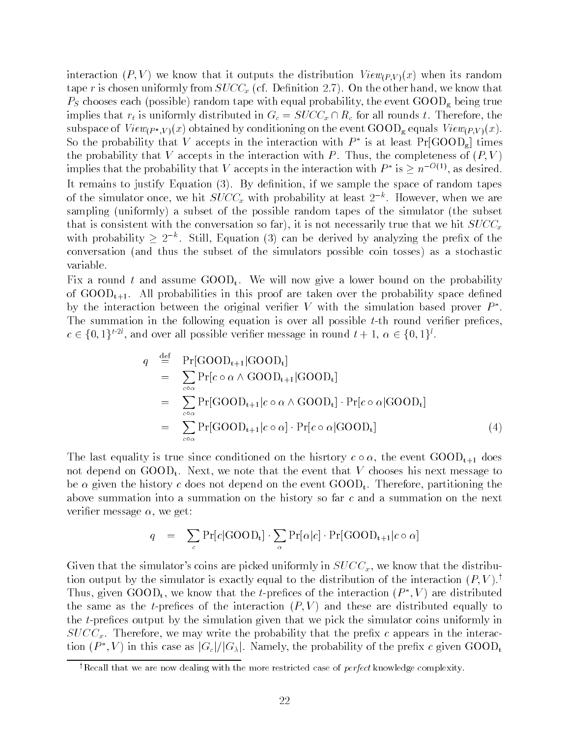interaction is a vertex that it outputs the distribution  $\mathbf{u}_i$  is random viewPV  $\mathbf{v}_i$ tape r is chosen uniformly from SUCCX  $\cup$  Denition  $\cup$  and  $\cup$   $\cup$  are the other hand-denition  $\cup$ random tape with experimental probability-the event of the probability-the event of the probability-official p implies that results that results that results the  $\alpha$  such all rounds therefore, therefore, therefore, therefore, the such all rounds the such all rounds to  $\alpha$ subspace of ViewP W V  $\mu$  W V  $\mu$  of  $\alpha$  and  $\alpha$  and  $\alpha$  is the event GOOD g equals ViewPV  $\mu$  . So the probability that V accepts in the interaction with  $P^*$  is at least  $Pr[\text{GOOD}_s]$  times the probability that V accepts in the interaction with P Thus- the completeness of P V implies that the probability that V accepts in the interaction with  $P^*$  is  $\geq n^{-O(1)}$ , as desired. . It remains to justify Equation (i), Equation-if if we show the space of random tapes of random tapes of the simulator once, we hit  $SUC_{x}$  with probability at least  $2^{-\kappa}$ . However, when we are sampling (was same), a subset of the possible random tapes of the simulator (the subset of that is consistent with the converse so far  $\mu$  is not necessarily true that we hit  $\omega$  or  $\omega_{\mu}$ with probability  $\geq 2^{-\kappa}$ . Still, Equation (3) can be derived by analyzing the prefix of the conversation  $\mathcal{N}$  and thus thus the subset of the simulators possible coin tosses  $\mathcal{N}$ variable

Fix a round t and assume  $\text{GOOD}_t$ . We will now give a lower bound on the probability of  $\text{GOOD}_{t+1}$ . All probabilities in this proof are taken over the probability space defined by the interaction between the original verifier V with the simulation based prover  $P^*$ . The summation in the following equation is over all possible  $t$ -th round verifier prefices.  $c \in \{0,1\}^{i\cdot 2i}$ , and over all possible verifier message in round  $t+1, \alpha \in \{0,1\}^i$ .

$$
q \stackrel{\text{def}}{=} \Pr[\text{GOOD}_{t+1}|\text{GOOD}_{t}]
$$
  
\n
$$
= \sum_{\substack{c \in \alpha \\ c \in \alpha}} \Pr[c \circ \alpha \wedge \text{GOOD}_{t+1}|\text{GOOD}_{t}]
$$
  
\n
$$
= \sum_{\substack{c \in \alpha \\ c \in \alpha}} \Pr[\text{GOOD}_{t+1}|c \circ \alpha \wedge \text{GOOD}_{t}] \cdot \Pr[c \circ \alpha|\text{GOOD}_{t}]
$$
  
\n
$$
= \sum_{\substack{c \in \alpha \\ c \in \alpha}} \Pr[\text{GOOD}_{t+1}|c \circ \alpha] \cdot \Pr[c \circ \alpha|\text{GOOD}_{t}] \qquad (4)
$$

The last equality is true since conditioned on the hisrtory c - the event GOODt does not depend on Goodt in Goodt that the event that the event that the event that V chooses his next message to t be given the history c does not depend on the event GOODt Therefore- partitioning the above summation into a summation on the history so far c and a summation on the next verien message - we get a get a get a get a get a get a get a get a get a get a get a get a get a get a get a g

$$
q = \sum_{c} \Pr[c|\text{GOOD}_{t}] \cdot \sum_{\alpha} \Pr[\alpha|c] \cdot \Pr[\text{GOOD}_{t+1}|c \circ \alpha]
$$

Given that the simulators coins are picked uniformly in SUCCx- we know that the distribu tion output by the simulator is exactly equal to the distribution of the interaction  $(P, V)$ .<sup>†</sup> Thus, given  $\text{GOOD}_t$ , we know that the t-prefices of the interaction  $(P^*,V)$  are distributed the same as the interaction  $\mathcal{N} \parallel \mathcal{N} \parallel$  where distributed equality to the interaction of the interaction of the interaction of the interaction of the interaction of the interaction of the interaction of the interac the  $t$ -prefices output by the simulation given that we pick the simulator coins uniformly in we we w<sub>at</sub> the probability the probability that the probability that the present the present interaction that the i tion  $(P^*, V)$  in this case as  $|G_c|/|G_\lambda|$ . Namely, the probability of the prefix c given GOOD<sub>t</sub>

<sup>&</sup>lt;sup>†</sup>Recall that we are now dealing with the more restricted case of *perfect* knowledge complexity.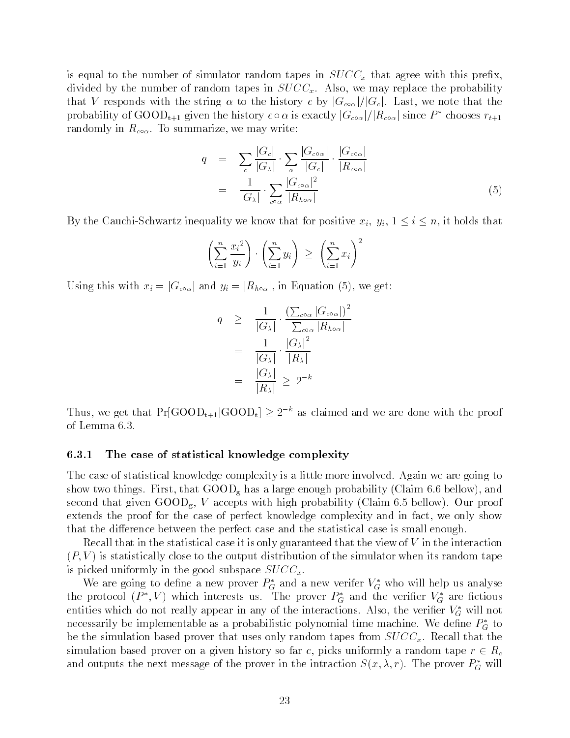is equal to the number of simulator random tapes in  $SUCC<sub>x</sub>$  that agree with this prefix. divided by the number of random tapes in SUCCx Also- we may replace the probability  $\frac{1}{2}$  responds with the string a to the mstory c by  $\frac{1}{2}$   $\frac{1}{2}$   $\frac{1}{2}$   $\frac{1}{2}$   $\frac{1}{2}$   $\frac{1}{2}$   $\frac{1}{2}$   $\frac{1}{2}$ probability of GOOD<sub>t+1</sub> given the history  $c \circ \alpha$  is exactly  $|G_{co\alpha}|/|R_{co\alpha}|$  since  $P^*$  chooses  $r_{t+1}$ randomly in  $\iota_{c_0\alpha}$ . To summarize, we may write.

$$
q = \sum_{c} \frac{|G_c|}{|G_{\lambda}|} \cdot \sum_{\alpha} \frac{|G_{c \circ \alpha}|}{|G_c|} \cdot \frac{|G_{c \circ \alpha}|}{|R_{c \circ \alpha}|} = \frac{1}{|G_{\lambda}|} \cdot \sum_{c \circ \alpha} \frac{|G_{c \circ \alpha}|^2}{|R_{h \circ \alpha}|}
$$
(5)

 $\mathbf{u}$  is the CauchiSchwartz interval interval  $\mathbf{v}$  ,  $\mathbf{v}$  is that for positive  $\mathbf{v}$  is that for  $\mathbf{v}$ 

$$
\left(\sum_{i=1}^n \frac{x_i^2}{y_i}\right) \cdot \left(\sum_{i=1}^n y_i\right) \ \ge \ \left(\sum_{i=1}^n x_i\right)^2
$$

Using this with  $x_i = |U_{\text{COQ}}|$  and  $y_i = |U_{\text{ROQ}}|$ , in Equation  $(U)$ , we get.

$$
q \geq \frac{1}{|G_{\lambda}|} \cdot \frac{\left(\sum_{c \circ \alpha} |G_{c \circ \alpha}|\right)^2}{\sum_{c \circ \alpha} |R_{h \circ \alpha}|}
$$
  
= 
$$
\frac{1}{|G_{\lambda}|} \cdot \frac{|G_{\lambda}|^2}{|R_{\lambda}|}
$$
  
= 
$$
\frac{|G_{\lambda}|}{|R_{\lambda}|} \geq 2^{-k}
$$

Thus, we get that  $Pr[\text{GOOD}_{t+1}|\text{GOOD}_t] \geq 2^{-k}$  as claimed and we are done with the proof of Lemma

#### 6.3.1 The case of statistical knowledge complexity

The case of statistical knowledge complexity is a little more involved. Again we are going to show two things First- that GOODg has a large enough probability Claim bellow - and second that given our proof that probability with the model of the claim of the claim of the probability of the extends the proof for the case of perfect knowledge complexity and in fact- we only show that the difference between the perfect case and the statistical case is small enough.

Recall that in the statistical case it is only guaranteed that the view of  $V$  in the interaction  $\mathbf{v} = \mathbf{v}$  is statistically contained to the simulator when its random tape  $\mathbf{v}$ is picked uniformly in the good subspace  $SUCC<sub>x</sub>$ .

We are going to define a new prover  $P_G^*$  and a new verifer  $V_G^*$  who will help us analyse the protocol  $(P^*,V)$  which interests us. The prover  $P_G^*$  and the verifier  $V_G^*$  are fictious entities which do not really appear in any of the interactions. Also, the verifier  $V_G^*$  will not necessarily be implementable as a probabilistic polynomial time machine. We define  $P_G^*$  to be the simulation based prover that uses only random tapes from  $SUCC_x$ . Recall that the simulation a more prover on a given history so far c) picket uniformly a random tape replies to  $\in$  well and outputs the next message of the prover in the intraction  $S(x, \lambda, r)$ . The prover  $P_G^*$  will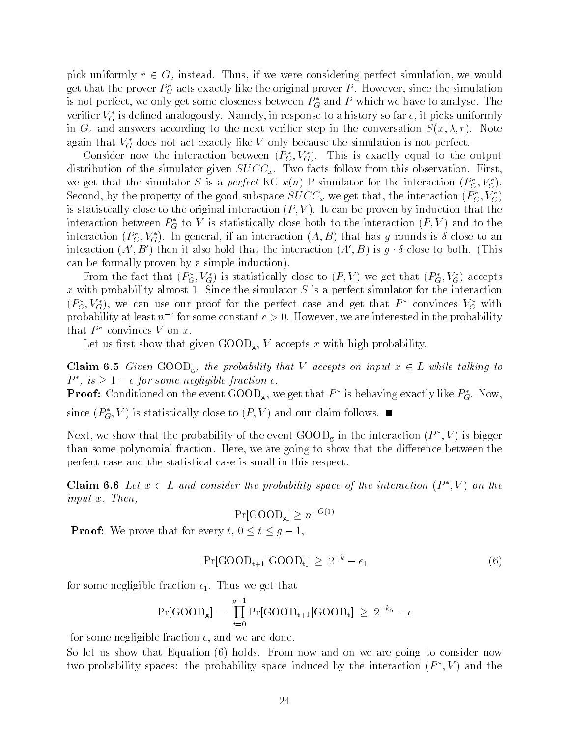pick uniformly results were considered the considering perfect simulation-of-considering perfect simulation-ofget that the prover  $P_G^*$  acts exactly like the original prover  $P.$  However, since the simulation is not perfect, we only get some closeness between  $P_G^*$  and  $P$  which we have to analyse. The verifier  $V_G^*$  is defined analogously. Namely, in response to a history so far  $c,$  it picks uniformly in Group and answers according to the next verificial step in the conversation  $\mathcal{S}^{\mathcal{X}}$  results to the conversation S  $\mathcal{S}^{\mathcal{X}}$  results to the conversation S  $\mathcal{S}^{\mathcal{X}}$  results to the conversation S  $\mathcal$ again that  $V_G^*$  does not act exactly like V only because the simulation is not perfect.

Consider now the interaction between  $(P_G^*,V_G^*)$ . This is exactly equal to the output distribution of the simulator given  $SUCC_x$ . Two facts follow from this observation. First, we get that the simulator S is a *perfect* KC  $k(n)$  P-simulator for the interaction  $(P_G^*, V_G^*)$ . Second, by the property of the good subspace  $SUCC_x$  we get that, the interaction  $(P_G^*,V_G^*)$ is statistically constructed to the original interaction  $\mathcal{N}$  and the proven by induction that the proven by induction that the proven by induction that the proven by induction that the proven by induction that the pr interaction between  $P_G^*$  to  $V$  is statistically close both to the interaction  $(P, V)$  and to the interaction  $(P_G^*,V_G^*)$ . In general, if an interaction  $(A, B)$  that has g rounds is  $\delta$ -close to an inteaction  $(A', B')$  then it also hold that the interaction  $(A', B)$  is g  $\delta$ -close to both. (This can be formally proven by a simple induction by a simple induction by a simple induction  $\mathbf{r}$ 

From the fact that  $(P_G^*, V_G^*)$  is statistically close to  $(P, V)$  we get that  $(P_G^*, V_G^*)$  accepts x with probability almost 1. Since the simulator  $S$  is a perfect simulator for the interaction  $(P_G^*,V_G^*)$ , we can use our proof for the perfect case and get that  $P^*$  convinces  $V_G^*$  with probability at least  $n^{-c}$  for some constant  $c > 0$ . However, we are interested in the probability that  $P^*$  convinces V on x.

Let us rst show that given GOODg- V accepts x with high probability

**Claim 6.0** Given GOOD<sub>g</sub>, the probability that V accepts on input  $x \in L$  while talking to  $P^*$ , is  $\geq 1 - \epsilon$  for some negligible fraction  $\epsilon$ .

**Proof:** Conditioned on the event GOOD<sub>g</sub>, we get that  $P^*$  is behaving exactly like  $P^*_G$ . Now,

since  $(P_G^*,V)$  is statistically close to  $(P,V)$  and our claim follows.  $\blacksquare$ 

Next, we show that the probability of the event  $\text{GOOD}_g$  in the interaction  $(P^*, V)$  is bigger than some polynomial fraction Here- we are going to show that the dierence between the perfect case and the statistical case is small in this respect

**Claim 6.6** Let  $x \in L$  and consider the probability space of the interaction  $(P^*, V)$  on the  $input x$ . Then,

$$
Pr[\text{GOOD}_g] \ge n^{-O(1)}
$$

Proof We prove that for every t- t g -

$$
Pr[GOOD_{t+1}|GOOD_t] \ge 2^{-k} - \epsilon_1 \tag{6}
$$

for some negligible fraction  $\epsilon_1$ . Thus we get that

$$
Pr[GOOD_g] = \prod_{t=0}^{g-1} Pr[GOOD_{t+1}|GOOD_t] \ge 2^{-kg} - \epsilon
$$

for some negligible fraction - and we are done

So let us show that Equation holds From now and on we are going to consider now two probability spaces: the probability space induced by the interaction  $(P^*, V)$  and the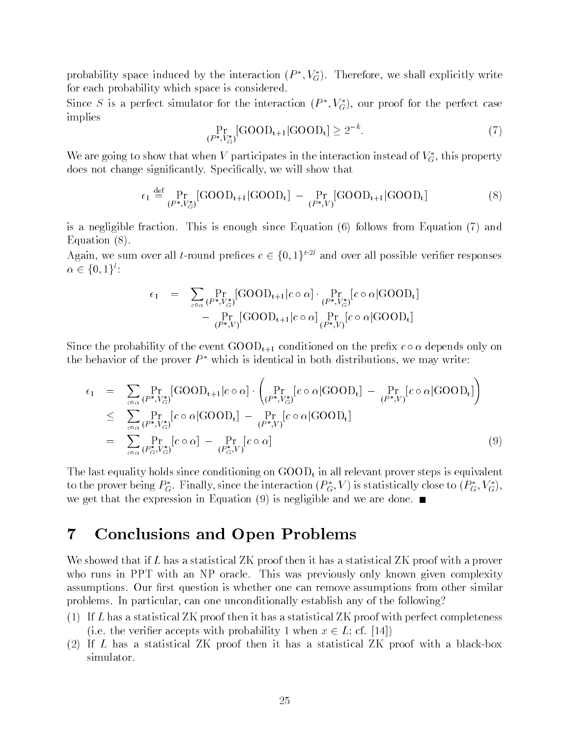probability space induced by the interaction  $(P^*,V^*_G)$ . Therefore, we shall explicitly write for each probability which space is considered

Since S is a perfect simulator for the interaction  $(P^*,V_G^*)$ , our proof for the perfect case implies

$$
\Pr_{(P^*,V_G^*)}[\text{GOOD}_{t+1}|\text{GOOD}_t] \ge 2^{-k}.\tag{7}
$$

We are going to show that when V participates in the interaction instead of  $V_G^*$ , this property  $\alpha$  and the change significantly show that  $\alpha$  is shown that  $\alpha$  is a significant  $\alpha$ 

$$
\epsilon_1 \stackrel{\text{def}}{=} \Pr_{(P^*,V^*_{\mathcal{G}})}[\text{GOOD}_{t+1}|\text{GOOD}_{t}] - \Pr_{(P^*,V)}[\text{GOOD}_{t+1}|\text{GOOD}_{t}] \tag{8}
$$

is a negligible fraction  $\mathcal{L}$  is enough since Equation is enough since Equation  $\mathcal{L}$  $\equiv$  . The contract of  $\equiv$  ,  $\equiv$  ,  $\equiv$ 

Again, we sum over all t-round prefices  $c \in \{0,1\}^{i \cdot 2i}$  and over all possible verifier responses  $\alpha \in \{0,1\}$ :

$$
\epsilon_1 = \sum_{c \circ \alpha} \Pr_{(P^*, V^*_{G})}[\text{GOOD}_{t+1}|c \circ \alpha] \cdot \Pr_{(P^*, V^*_{G})}[c \circ \alpha] \text{GOOD}_{t}]
$$

$$
- \Pr_{(P^*, V)}[\text{GOOD}_{t+1}|c \circ \alpha] \Pr_{(P^*, V)}[c \circ \alpha] \text{GOOD}_{t}]
$$

Since the probability of the event GOODt conditioned on the prex <sup>c</sup> depends only on the behavior of the prover  $P^*$  which is identical in both distributions, we may write:

$$
\epsilon_{1} = \sum_{\substack{\cos \alpha \ (P^{*}, V_{G}^{*})}} \Pr[\text{GOOD}_{t+1}|c \circ \alpha] \cdot \left(\Pr_{(P^{*}, V_{G}^{*})}[c \circ \alpha | \text{GOOD}_{t}] - \Pr_{(P^{*}, V)}[c \circ \alpha | \text{GOOD}_{t}] \right)
$$
\n
$$
\leq \sum_{\substack{\cos \alpha \ (P^{*}, V_{G}^{*})}} \Pr[\text{co } \alpha | \text{GOOD}_{t}] - \Pr_{(P^{*}, V)}[c \circ \alpha | \text{GOOD}_{t}]
$$
\n
$$
= \sum_{\substack{\cos \alpha \ (P_{G}^{*}, V_{G}^{*})}} \Pr[\text{co } \alpha] - \Pr_{(P_{G}^{*}, V)}[c \circ \alpha] \tag{9}
$$

The last time is discussed since conditioning on GOOD that it all  $\theta$  is equality is equality in all relevant on GOOD to the prover being  $P_G^*$ . Finally, since the interaction  $(P_G^*,V)$  is statistically close to  $(P_G^*,V_G^*)$ , we get that the expression in Equation in Equation in Equation in Equation in Equation  $\mathcal{L} = \{ \mathcal{L} \}$ 

### Conclusions and Open Problems  $\overline{7}$

We showed that if L has a statistical ZK proof then it has a statistical ZK proof with a prover who runs in PPT with an NP oracle. This was previously only known given complexity assumptions. Our first question is whether one can remove assumptions from other similar problems In particular- can one unconditionally establish any of the following

- If L has a statistical ZK proof then it has a statistical ZK proof with perfect completeness (i.e. the verifier accepts with probability 1 when  $x \in L$ ; cf. [14])
- If L has a statistical ZK proof then it has a statistical ZK proof with a blackbox simulator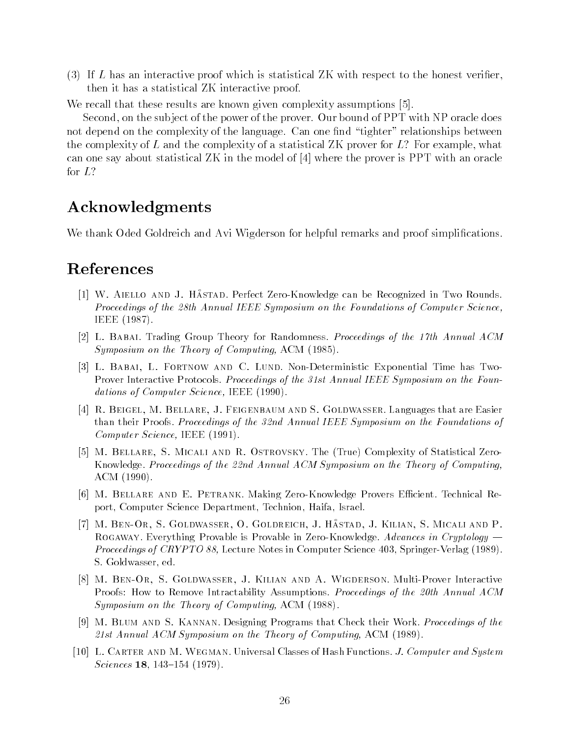If L has an interactive proof which is statistical ZK with respect to the honest verierthen it has a statistical ZK interactive proof

We recall that these results are known given complexity assumptions [5].

Second- on the sub ject of the power of the prover Our bound of PPT with NP oracle does not depend on the complexity of the language. Can one find "tighter" relationships between the complexity of  $L$  and the complexity of a statistical ZK prover for  $L$  prover for  $L$  -for example-for example-for example-for example-for example-for example-for example-for example-for example-for example-for examp can one say about statistical  $ZK$  in the model of  $[4]$  where the prover is PPT with an oracle

## Acknowledgments

We thank Oded Goldreich and Avi Wigderson for helpful remarks and proof simplications

## References

- $\mu$   $\mu$  and  $\mu$  and  $\mu$  and  $\mu$  are  $\mu$  and  $\mu$  and  $\mu$  and  $\mu$  and  $\mu$  and  $\mu$  and  $\mu$  and  $\mu$  and  $\mu$ Proceedings of the 28th Annual IEEE Symposium on the Foundations of Computer Science, IEEE
- [2] L. BABAI. Trading Group Theory for Randomness. Proceedings of the 17th Annual ACM Symposium on the Theory of Computing- ACM
- L Babai- L Fortnow and C Lund NonDeterministic Exponential Time has Two Prover Interactive Protocols. Proceedings of the 31st Annual IEEE Symposium on the Foundations of Computer Science- Income Income
- r a bellare S Goldwasser Languages that and S Goldware- Languages that are Eastern S Goldway and S Goldway a than their Proofs. Proceedings of the 32nd Annual IEEE Symposium on the Foundations of computer of the computer of the start of the set of the set of the set of the set of the set of the set of the
- M Bellare- S Micali and R Ostrovsky The True Complexity of Statistical Zero Knowledge. Proceedings of the 22nd Annual ACM Symposium on the Theory of Computing, ACM
- [6] M. BELLARE AND E. PETRANK. Making Zero-Knowledge Provers Efficient. Technical Report, Computer Science Department, Technion, Haifa, Israel.
- ii hastad on o Gold Miccley of Goldreich of Hilchip, of Hilling of Hilling and Protection ROGAWAY. Everything Provable is Provable in Zero-Knowledge. Advances in Cryptology  $-$ Proceedings of CRYPTO - Lecture Notes in Computer Science SpringerVerlag S. Goldwasser, ed.
- , s and a with a wigher-definition and A Minimum and A Wiggerson MultiProver Interactive Interactive Interactiv Proofs: How to Remove Intractability Assumptions. Proceedings of the 20th Annual ACM Symposium on the Theory of Computing- ACM
- [9] M. BLUM AND S. KANNAN. Designing Programs that Check their Work. Proceedings of the st Annual ACM Symposium on the Theory of Computing- ACM
- L Carter and M Wegman Universal Classes of Hash Functions J Computer and System Sciences  $18, 143-154$  (1979).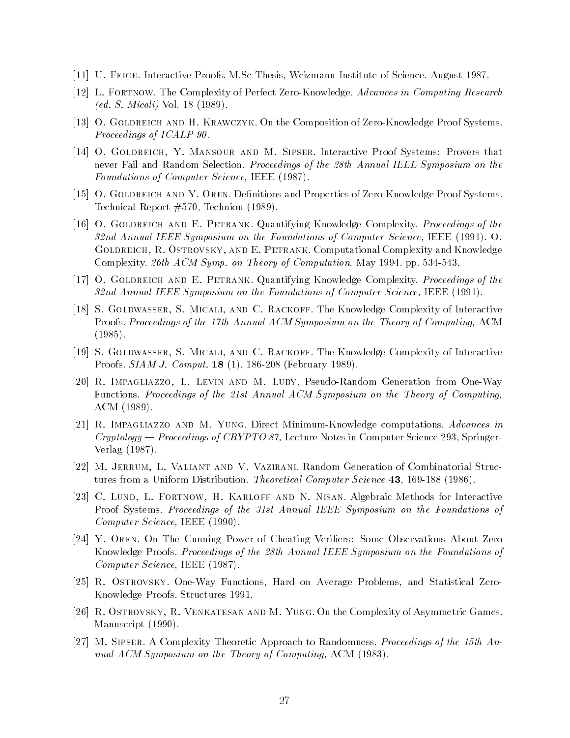- U Feige Interactive Proofs MSc Thesis Weizmann Institute of Science August
- L Fortnow The Complexity of Perfect ZeroKnowledge Advances in Computing Research ed solutions are the solution of the solution of  $\mathcal{S}$  . So that is not solve that is not so that is not so that is no solution of  $\mathcal{S}$
- O Goldreich and H Krawczyk On the Composition of ZeroKnowledge Proof Systems Proceedings of ICALP 90.
- O Goldreich- Y Mansour and M Sipser Interactive Proof Systems Provers that never Fail and Random Selection. Proceedings of the 28th Annual IEEE Symposium on the Foundations of Computer Science- IEEE
- o gold and Y Oren December 2012 and Properties of Andrew Properties of Andrew Properties of Properties of Andr Technical Report is a strong problem of the strong problem in the strong problem in the strong problem in the s
- O Goldreich and E Petrank Quantifying Knowledge Complexity Proceedings of the nd Annual IEEE Symposium on the Foundations of Computer Science- IEEE O Golder and Art Coloration Computational Computational Computational Computational Complexity and Knowledge Comp th ACM Sympatric Computation May 2012, a computation May 2012 and ACM Sympatric May 2012 and ACM 2013 and ACM 2013
- O Goldreich and E Petrank Quantifying Knowledge Complexity Proceedings of the nd Annual IEEE Symposium on the Foundations of Computer Science-America, Science-
- is and C Rackoff The Complexity of Interaction and Complexity of Interactive Complexity of Interactive Complexity Proofs Proceedings of the th Annual ACM Symposium on the Theory of Computing- ACM
- S Goldwasser- S Micali- and C Rackoff The Knowledge Complexity of Interactive Proofs.  $SIAM$  J. Comput. 18 (1), 186-208 (February 1989).
- R Impagliazzo- L Levin and M Luby PseudoRandom Generation from OneWay Functions. Proceedings of the 21st Annual ACM Symposium on the Theory of Computing, ACM
- R Impagliazzo and M Yung Direct MinimumKnowledge computations Advances in Cryptology Proceedings of CRYPTO - Lecture Notes in Computer Science 
Springer Verlag
- M Jerrum- L Valiant and V Vazirani Random Generation of Combinatorial Struc tures from a Uniform Distribution. *Theoretical Computer Science* 43, 169-188 (1986).
- C Lund- L Fortnow- H Karloff and N Nisan Algebraic Methods for Interactive Proof Systems. Proceedings of the 31st Annual IEEE Symposium on the Foundations of computer of the computer of the state of the set of the set of the set of the set of the set of the set of the
- Y Oren On The Cunning Power of Cheating Veri-ers Some Observations About Zero Knowledge Proofs. Proceedings of the 28th Annual IEEE Symposium on the Foundations of Computer Science- IEEE
- [25] R. Ostrovsky. One-Way Functions, Hard on Average Problems, and Statistical Zero-Knowledge Proofs Structures
- R Ostrovsky- R Venkatesan and M Yung On the Complexity of Asymmetric Games manuscripts (manuscripts)
- [27] M. SIPSER. A Complexity Theoretic Approach to Randomness. Proceedings of the 15th Annum acousto yn print an the Theory of Computing-acoust is a computed of  $\mathcal{C}$